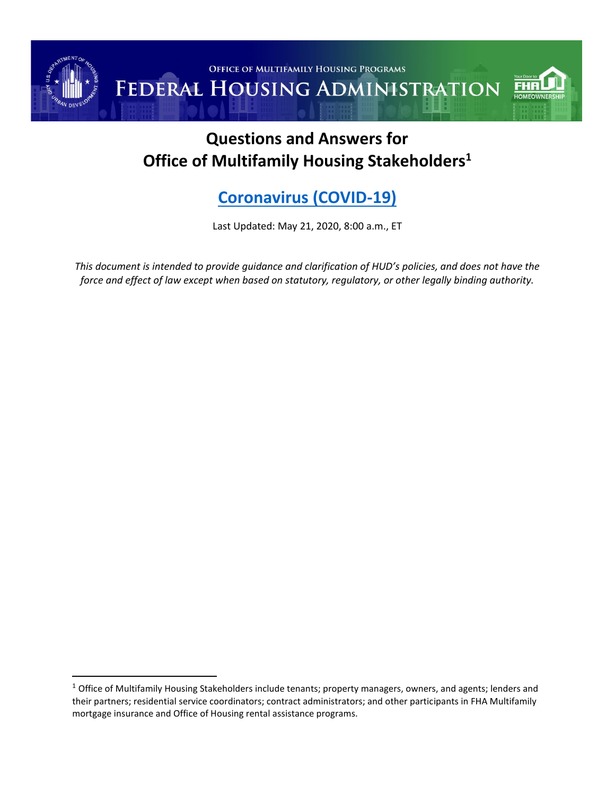

# **Questions and Answers for Office of Multifamily Housing Stakeholders<sup>1</sup>**

# **[Coronavirus \(COVID-19\)](https://www.cdc.gov/coronavirus/2019-ncov/index.html)**

Last Updated: May 21, 2020, 8:00 a.m., ET

*This document is intended to provide guidance and clarification of HUD's policies, and does not have the force and effect of law except when based on statutory, regulatory, or other legally binding authority.*

 $1$  Office of Multifamily Housing Stakeholders include tenants; property managers, owners, and agents; lenders and their partners; residential service coordinators; contract administrators; and other participants in FHA Multifamily mortgage insurance and Office of Housing rental assistance programs.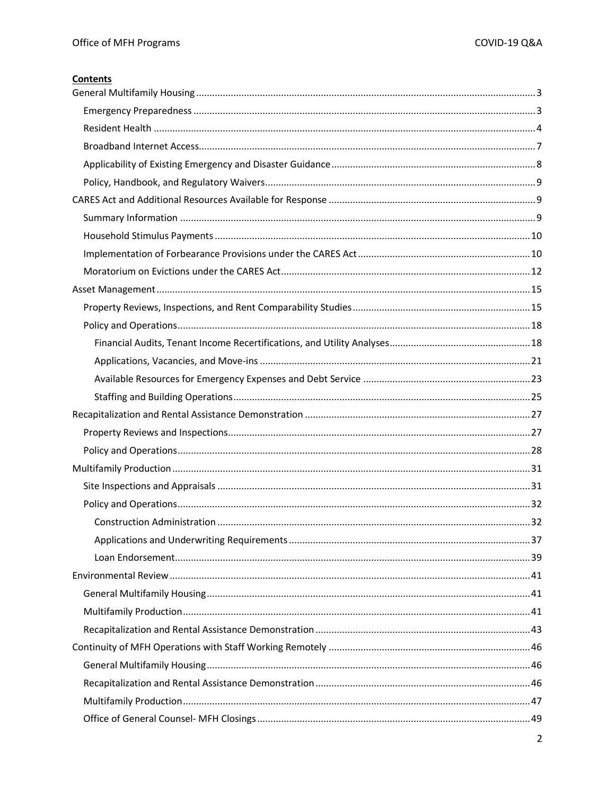### **Contents**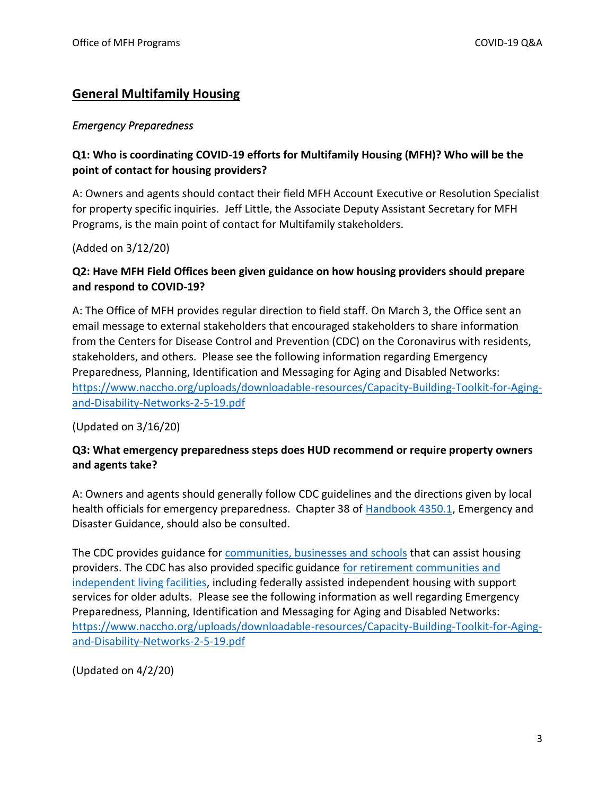# <span id="page-2-0"></span>**General Multifamily Housing**

#### <span id="page-2-1"></span>*Emergency Preparedness*

### **Q1: Who is coordinating COVID-19 efforts for Multifamily Housing (MFH)? Who will be the point of contact for housing providers?**

A: Owners and agents should contact their field MFH Account Executive or Resolution Specialist for property specific inquiries. Jeff Little, the Associate Deputy Assistant Secretary for MFH Programs, is the main point of contact for Multifamily stakeholders.

(Added on 3/12/20)

### **Q2: Have MFH Field Offices been given guidance on how housing providers should prepare and respond to COVID-19?**

A: The Office of MFH provides regular direction to field staff. On March 3, the Office sent an email message to external stakeholders that encouraged stakeholders to share information from the Centers for Disease Control and Prevention (CDC) on the Coronavirus with residents, stakeholders, and others. Please see the following information regarding Emergency Preparedness, Planning, Identification and Messaging for Aging and Disabled Networks: [https://www.naccho.org/uploads/downloadable-resources/Capacity-Building-Toolkit-for-Aging](https://www.naccho.org/uploads/downloadable-resources/Capacity-Building-Toolkit-for-Aging-and-Disability-Networks-2-5-19.pdf)[and-Disability-Networks-2-5-19.pdf](https://www.naccho.org/uploads/downloadable-resources/Capacity-Building-Toolkit-for-Aging-and-Disability-Networks-2-5-19.pdf)

(Updated on 3/16/20)

### **Q3: What emergency preparedness steps does HUD recommend or require property owners and agents take?**

A: Owners and agents should generally follow CDC guidelines and the directions given by local health officials for emergency preparedness. Chapter 38 of [Handbook 4350.1,](https://www.hud.gov/program_offices/administration/hudclips/handbooks/hsgh/4350.1) Emergency and Disaster Guidance, should also be consulted.

The CDC provides guidance for [communities, businesses and schools](https://www.cdc.gov/coronavirus/2019-ncov/community/index.html?CDC_AA_refVal=https%3A%2F%2Fwww.cdc.gov%2Fcoronavirus%2F2019-ncov%2Fpreparing-individuals-communities.html) that can assist housing providers. The CDC has also provided specific guidance [for retirement communities and](https://www.cdc.gov/coronavirus/2019-ncov/community/retirement/guidance-retirement-response.html)  [independent living facilities,](https://www.cdc.gov/coronavirus/2019-ncov/community/retirement/guidance-retirement-response.html) including federally assisted independent housing with support services for older adults. Please see the following information as well regarding Emergency Preparedness, Planning, Identification and Messaging for Aging and Disabled Networks: [https://www.naccho.org/uploads/downloadable-resources/Capacity-Building-Toolkit-for-Aging](https://www.naccho.org/uploads/downloadable-resources/Capacity-Building-Toolkit-for-Aging-and-Disability-Networks-2-5-19.pdf)[and-Disability-Networks-2-5-19.pdf](https://www.naccho.org/uploads/downloadable-resources/Capacity-Building-Toolkit-for-Aging-and-Disability-Networks-2-5-19.pdf)

(Updated on 4/2/20)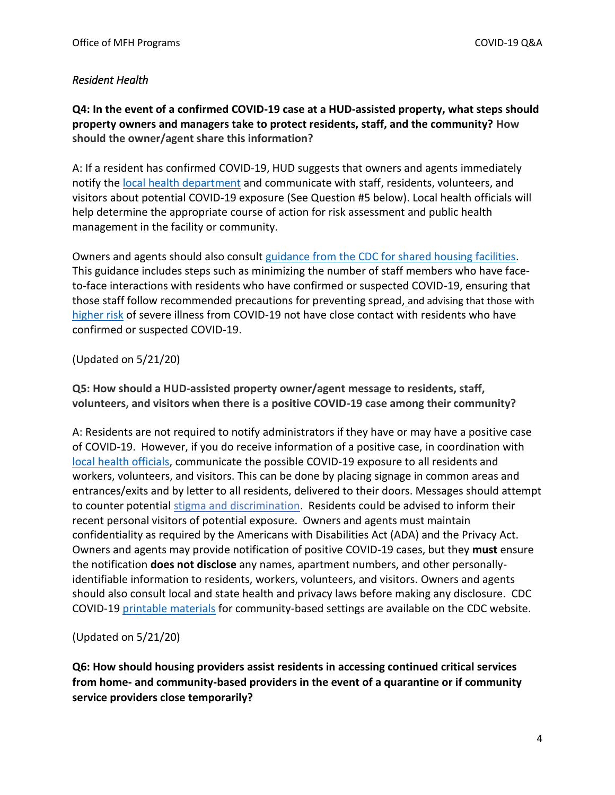### <span id="page-3-0"></span>*Resident Health*

**Q4: In the event of a confirmed COVID-19 case at a HUD-assisted property, what steps should property owners and managers take to protect residents, staff, and the community? How should the owner/agent share this information?**

A: If a resident has confirmed COVID-19, HUD suggests that owners and agents immediately notify the [local health department](https://www.naccho.org/membership/lhd-directory) and communicate with staff, residents, volunteers, and visitors about potential COVID-19 exposure (See Question #5 below). Local health officials will help determine the appropriate course of action for risk assessment and public health management in the facility or community.

Owners and agents should also consult [guidance from the CDC for shared housing facilities.](https://www.cdc.gov/coronavirus/2019-ncov/community/shared-congregate-house/guidance-shared-congregate-housing.html) This guidance includes steps such as minimizing the number of staff members who have faceto-face interactions with residents who have confirmed or suspected COVID-19, ensuring that those staff follow recommended precautions for preventing spread, and advising that those with [higher risk](https://www.cdc.gov/coronavirus/2019-ncov/need-extra-precautions/people-at-higher-risk.html) of severe illness from COVID-19 not have close contact with residents who have confirmed or suspected COVID-19.

### (Updated on 5/21/20)

**Q5: How should a HUD-assisted property owner/agent message to residents, staff, volunteers, and visitors when there is a positive COVID-19 case among their community?** 

A: Residents are not required to notify administrators if they have or may have a positive case of COVID-19. However, if you do receive information of a positive case, in coordination with [local health officials,](https://www.naccho.org/membership/lhd-directory) communicate the possible COVID-19 exposure to all residents and workers, volunteers, and visitors. This can be done by placing signage in common areas and entrances/exits and by letter to all residents, delivered to their doors. Messages should attempt to counter potential [stigma and discrimination.](https://www.cdc.gov/coronavirus/2019-ncov/daily-life-coping/reducing-stigma.html) Residents could be advised to inform their recent personal visitors of potential exposure. Owners and agents must maintain confidentiality as required by the Americans with Disabilities Act (ADA) and the Privacy Act. Owners and agents may provide notification of positive COVID-19 cases, but they **must** ensure the notification **does not disclose** any names, apartment numbers, and other personallyidentifiable information to residents, workers, volunteers, and visitors. Owners and agents should also consult local and state health and privacy laws before making any disclosure. CDC COVID-19 [printable materials](https://www.cdc.gov/coronavirus/2019-ncov/communication/print-resources.html) for community-based settings are available on the CDC website.

(Updated on 5/21/20)

**Q6: How should housing providers assist residents in accessing continued critical services from home- and community-based providers in the event of a quarantine or if community service providers close temporarily?**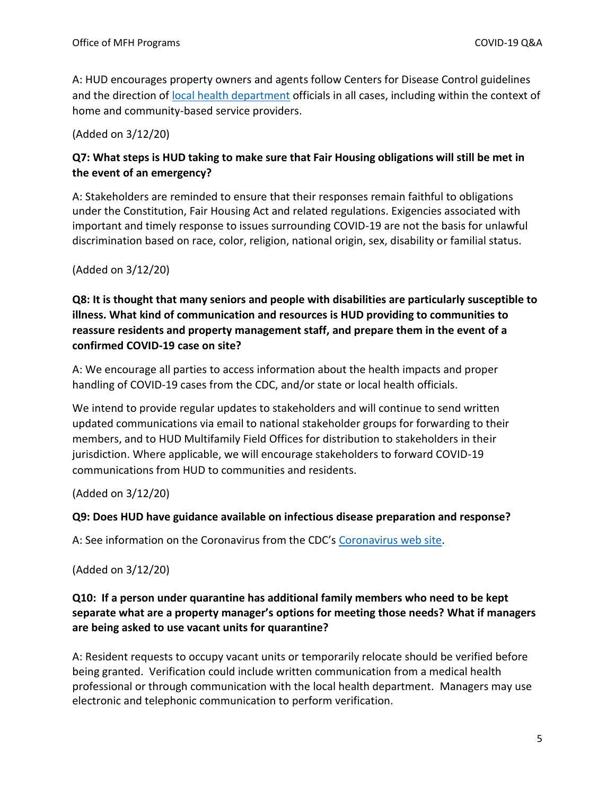A: HUD encourages property owners and agents follow Centers for Disease Control guidelines and the direction of [local health department](https://www.naccho.org/membership/lhd-directory) officials in all cases, including within the context of home and community-based service providers.

(Added on 3/12/20)

# **Q7: What steps is HUD taking to make sure that Fair Housing obligations will still be met in the event of an emergency?**

A: Stakeholders are reminded to ensure that their responses remain faithful to obligations under the Constitution, Fair Housing Act and related regulations. Exigencies associated with important and timely response to issues surrounding COVID-19 are not the basis for unlawful discrimination based on race, color, religion, national origin, sex, disability or familial status.

(Added on 3/12/20)

**Q8: It is thought that many seniors and people with disabilities are particularly susceptible to illness. What kind of communication and resources is HUD providing to communities to reassure residents and property management staff, and prepare them in the event of a confirmed COVID-19 case on site?** 

A: We encourage all parties to access information about the health impacts and proper handling of COVID-19 cases from the CDC, and/or state or local health officials.

We intend to provide regular updates to stakeholders and will continue to send written updated communications via email to national stakeholder groups for forwarding to their members, and to HUD Multifamily Field Offices for distribution to stakeholders in their jurisdiction. Where applicable, we will encourage stakeholders to forward COVID-19 communications from HUD to communities and residents.

(Added on 3/12/20)

### **Q9: Does HUD have guidance available on infectious disease preparation and response?**

A: See information on the Coronavirus from the CDC's [Coronavirus web site.](https://www.cdc.gov/coronavirus/2019-ncov/community/index.html)

(Added on 3/12/20)

# **Q10: If a person under quarantine has additional family members who need to be kept separate what are a property manager's options for meeting those needs? What if managers are being asked to use vacant units for quarantine?**

A: Resident requests to occupy vacant units or temporarily relocate should be verified before being granted. Verification could include written communication from a medical health professional or through communication with the local health department. Managers may use electronic and telephonic communication to perform verification.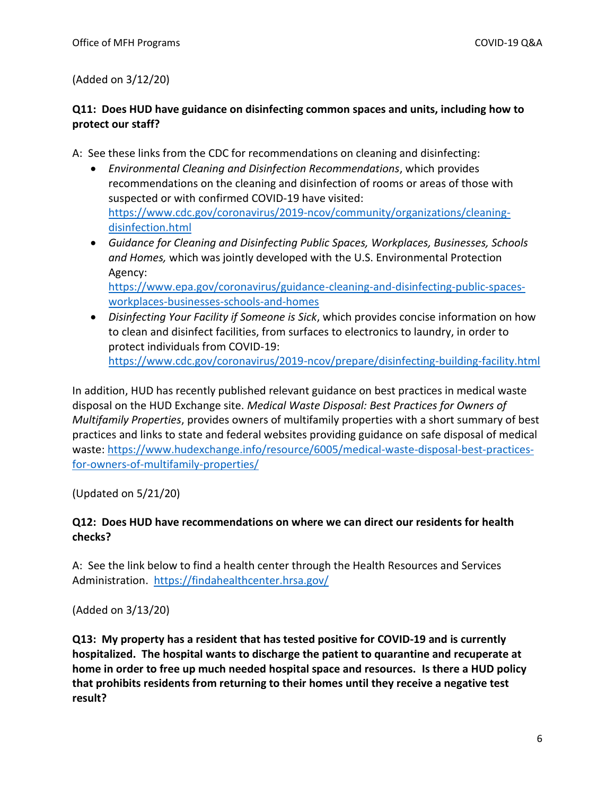(Added on 3/12/20)

# **Q11: Does HUD have guidance on disinfecting common spaces and units, including how to protect our staff?**

A: See these links from the CDC for recommendations on cleaning and disinfecting:

[workplaces-businesses-schools-and-homes](https://www.epa.gov/coronavirus/guidance-cleaning-and-disinfecting-public-spaces-workplaces-businesses-schools-and-homes)

- *Environmental Cleaning and Disinfection Recommendations*, which provides recommendations on the cleaning and disinfection of rooms or areas of those with suspected or with confirmed COVID-19 have visited: [https://www.cdc.gov/coronavirus/2019-ncov/community/organizations/cleaning](https://www.cdc.gov/coronavirus/2019-ncov/community/organizations/cleaning-disinfection.html)[disinfection.html](https://www.cdc.gov/coronavirus/2019-ncov/community/organizations/cleaning-disinfection.html)
- *Guidance for Cleaning and Disinfecting Public Spaces, Workplaces, Businesses, Schools and Homes,* which was jointly developed with the U.S. Environmental Protection Agency: [https://www.epa.gov/coronavirus/guidance-cleaning-and-disinfecting-public-spaces-](https://www.epa.gov/coronavirus/guidance-cleaning-and-disinfecting-public-spaces-workplaces-businesses-schools-and-homes)
- *Disinfecting Your Facility if Someone is Sick*, which provides concise information on how to clean and disinfect facilities, from surfaces to electronics to laundry, in order to protect individuals from COVID-19: <https://www.cdc.gov/coronavirus/2019-ncov/prepare/disinfecting-building-facility.html>

In addition, HUD has recently published relevant guidance on best practices in medical waste disposal on the HUD Exchange site. *Medical Waste Disposal: Best Practices for Owners of Multifamily Properties*, provides owners of multifamily properties with a short summary of best practices and links to state and federal websites providing guidance on safe disposal of medical waste: [https://www.hudexchange.info/resource/6005/medical-waste-disposal-best-practices](https://www.hudexchange.info/resource/6005/medical-waste-disposal-best-practices-for-owners-of-multifamily-properties/)[for-owners-of-multifamily-properties/](https://www.hudexchange.info/resource/6005/medical-waste-disposal-best-practices-for-owners-of-multifamily-properties/)

(Updated on 5/21/20)

### **Q12: Does HUD have recommendations on where we can direct our residents for health checks?**

A: See the link below to find a health center through the Health Resources and Services Administration. <https://findahealthcenter.hrsa.gov/>

(Added on 3/13/20)

**Q13: My property has a resident that has tested positive for COVID-19 and is currently hospitalized. The hospital wants to discharge the patient to quarantine and recuperate at home in order to free up much needed hospital space and resources. Is there a HUD policy that prohibits residents from returning to their homes until they receive a negative test result?**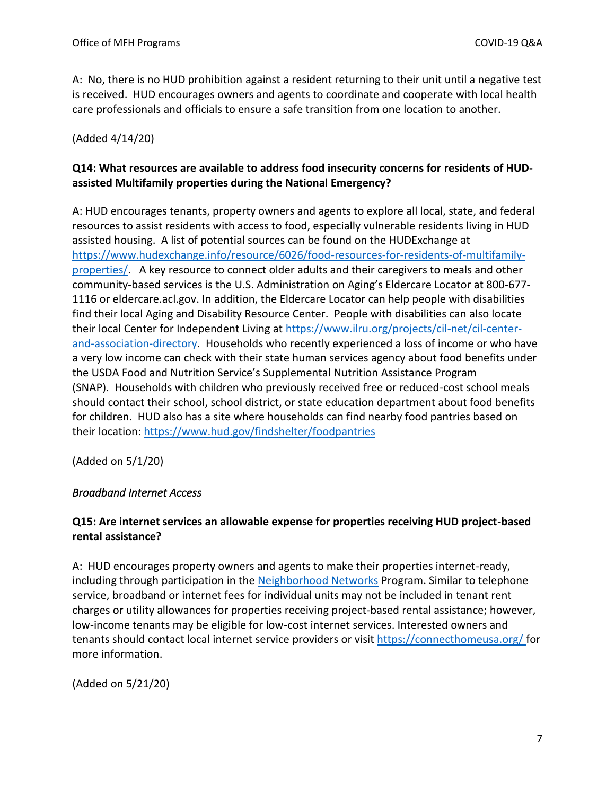A: No, there is no HUD prohibition against a resident returning to their unit until a negative test is received. HUD encourages owners and agents to coordinate and cooperate with local health care professionals and officials to ensure a safe transition from one location to another.

(Added 4/14/20)

# **Q14: What resources are available to address food insecurity concerns for residents of HUDassisted Multifamily properties during the National Emergency?**

A: HUD encourages tenants, property owners and agents to explore all local, state, and federal resources to assist residents with access to food, especially vulnerable residents living in HUD assisted housing. A list of potential sources can be found on the HUDExchange at [https://www.hudexchange.info/resource/6026/food-resources-for-residents-of-multifamily](https://www.hudexchange.info/resource/6026/food-resources-for-residents-of-multifamily-properties/)[properties/.](https://www.hudexchange.info/resource/6026/food-resources-for-residents-of-multifamily-properties/) A key resource to connect older adults and their caregivers to meals and other community-based services is the U.S. Administration on Aging's Eldercare Locator at 800-677- 1116 or eldercare.acl.gov. In addition, the Eldercare Locator can help people with disabilities find their local Aging and Disability Resource Center. People with disabilities can also locate their local Center for Independent Living at [https://www.ilru.org/projects/cil-net/cil-center](https://www.ilru.org/projects/cil-net/cil-center-and-association-directory)[and-association-directory.](https://www.ilru.org/projects/cil-net/cil-center-and-association-directory) Households who recently experienced a loss of income or who have a very low income can check with their state human services agency about food benefits under the USDA Food and Nutrition Service's Supplemental Nutrition Assistance Program (SNAP). Households with children who previously received free or reduced-cost school meals should contact their school, school district, or state education department about food benefits for children. HUD also has a site where households can find nearby food pantries based on their location:<https://www.hud.gov/findshelter/foodpantries>

(Added on 5/1/20)

### <span id="page-6-0"></span>*Broadband Internet Access*

# **Q15: Are internet services an allowable expense for properties receiving HUD project-based rental assistance?**

A: HUD encourages property owners and agents to make their properties internet-ready, including through participation in the [Neighborhood Networks](https://www.hud.gov/program_offices/public_indian_housing/programs/ph/nnw/nnwaboutnn) Program. Similar to telephone service, broadband or internet fees for individual units may not be included in tenant rent charges or utility allowances for properties receiving project-based rental assistance; however, low-income tenants may be eligible for low-cost internet services. Interested owners and tenants should contact local internet service providers or visit<https://connecthomeusa.org/> for more information.

(Added on 5/21/20)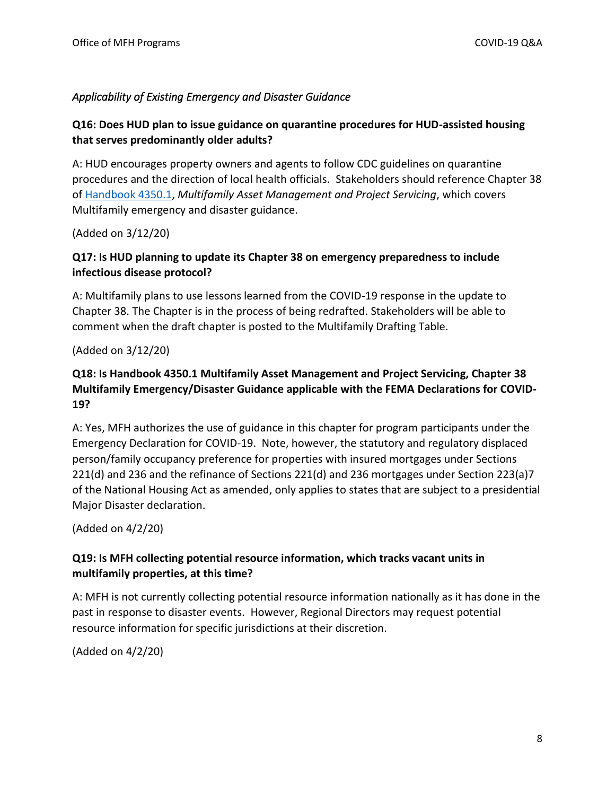### <span id="page-7-0"></span>*Applicability of Existing Emergency and Disaster Guidance*

# **Q16: Does HUD plan to issue guidance on quarantine procedures for HUD-assisted housing that serves predominantly older adults?**

A: HUD encourages property owners and agents to follow CDC guidelines on quarantine procedures and the direction of local health officials. Stakeholders should reference Chapter 38 o[f Handbook 4350.1,](https://www.hud.gov/program_offices/administration/hudclips/handbooks/hsgh/4350.1) *Multifamily Asset Management and Project Servicing*, which covers Multifamily emergency and disaster guidance.

(Added on 3/12/20)

# **Q17: Is HUD planning to update its Chapter 38 on emergency preparedness to include infectious disease protocol?**

A: Multifamily plans to use lessons learned from the COVID-19 response in the update to Chapter 38. The Chapter is in the process of being redrafted. Stakeholders will be able to comment when the draft chapter is posted to the Multifamily Drafting Table.

(Added on 3/12/20)

# **Q18: Is Handbook 4350.1 Multifamily Asset Management and Project Servicing, Chapter 38 Multifamily Emergency/Disaster Guidance applicable with the FEMA Declarations for COVID-19?**

A: Yes, MFH authorizes the use of guidance in this chapter for program participants under the Emergency Declaration for COVID-19. Note, however, the statutory and regulatory displaced person/family occupancy preference for properties with insured mortgages under Sections 221(d) and 236 and the refinance of Sections 221(d) and 236 mortgages under Section 223(a)7 of the National Housing Act as amended, only applies to states that are subject to a presidential Major Disaster declaration.

(Added on 4/2/20)

# **Q19: Is MFH collecting potential resource information, which tracks vacant units in multifamily properties, at this time?**

A: MFH is not currently collecting potential resource information nationally as it has done in the past in response to disaster events. However, Regional Directors may request potential resource information for specific jurisdictions at their discretion.

(Added on 4/2/20)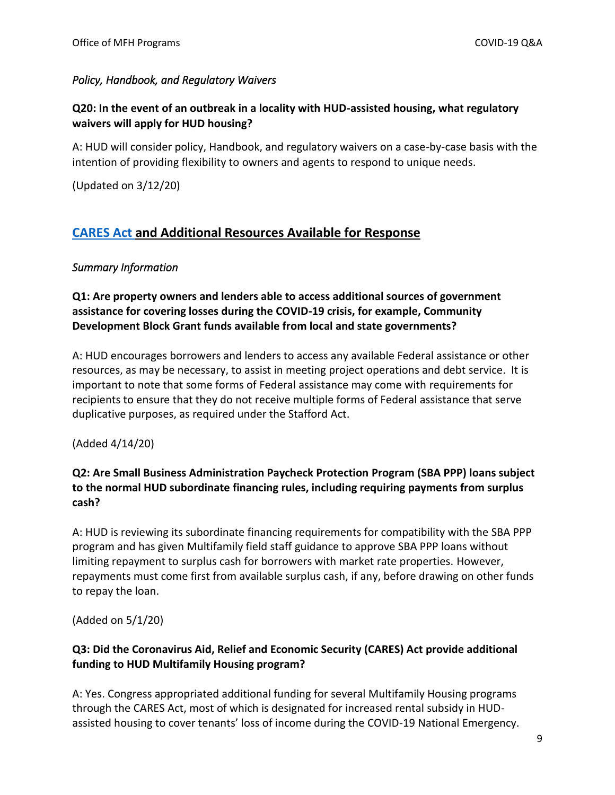### <span id="page-8-0"></span>*Policy, Handbook, and Regulatory Waivers*

# **Q20: In the event of an outbreak in a locality with HUD-assisted housing, what regulatory waivers will apply for HUD housing?**

A: HUD will consider policy, Handbook, and regulatory waivers on a case-by-case basis with the intention of providing flexibility to owners and agents to respond to unique needs.

(Updated on 3/12/20)

### <span id="page-8-1"></span>**[CARES Act](https://www.congress.gov/bill/116th-congress/house-bill/748/text?q=%7B%22search%22%3A%5B%22H.R.748+-+CARES+Act%22%5D%7D&r=1&s=6) and Additional Resources Available for Response**

### <span id="page-8-2"></span>*Summary Information*

### **Q1: Are property owners and lenders able to access additional sources of government assistance for covering losses during the COVID-19 crisis, for example, Community Development Block Grant funds available from local and state governments?**

A: HUD encourages borrowers and lenders to access any available Federal assistance or other resources, as may be necessary, to assist in meeting project operations and debt service. It is important to note that some forms of Federal assistance may come with requirements for recipients to ensure that they do not receive multiple forms of Federal assistance that serve duplicative purposes, as required under the Stafford Act.

(Added 4/14/20)

# **Q2: Are Small Business Administration Paycheck Protection Program (SBA PPP) loans subject to the normal HUD subordinate financing rules, including requiring payments from surplus cash?**

A: HUD is reviewing its subordinate financing requirements for compatibility with the SBA PPP program and has given Multifamily field staff guidance to approve SBA PPP loans without limiting repayment to surplus cash for borrowers with market rate properties. However, repayments must come first from available surplus cash, if any, before drawing on other funds to repay the loan.

(Added on 5/1/20)

### **Q3: Did the Coronavirus Aid, Relief and Economic Security (CARES) Act provide additional funding to HUD Multifamily Housing program?**

A: Yes. Congress appropriated additional funding for several Multifamily Housing programs through the CARES Act, most of which is designated for increased rental subsidy in HUDassisted housing to cover tenants' loss of income during the COVID-19 National Emergency.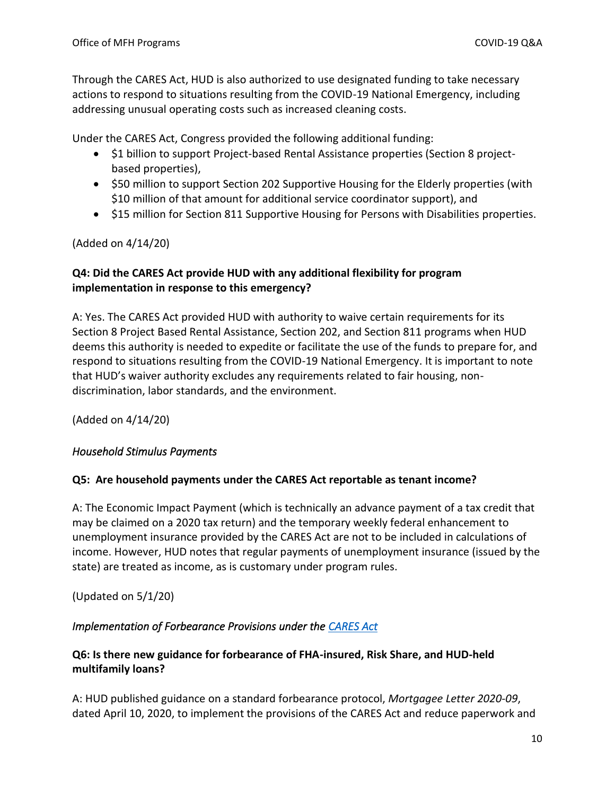Through the CARES Act, HUD is also authorized to use designated funding to take necessary actions to respond to situations resulting from the COVID-19 National Emergency, including addressing unusual operating costs such as increased cleaning costs.

Under the CARES Act, Congress provided the following additional funding:

- \$1 billion to support Project-based Rental Assistance properties (Section 8 projectbased properties),
- \$50 million to support Section 202 Supportive Housing for the Elderly properties (with \$10 million of that amount for additional service coordinator support), and
- \$15 million for Section 811 Supportive Housing for Persons with Disabilities properties.

(Added on 4/14/20)

## **Q4: Did the CARES Act provide HUD with any additional flexibility for program implementation in response to this emergency?**

A: Yes. The CARES Act provided HUD with authority to waive certain requirements for its Section 8 Project Based Rental Assistance, Section 202, and Section 811 programs when HUD deems this authority is needed to expedite or facilitate the use of the funds to prepare for, and respond to situations resulting from the COVID-19 National Emergency. It is important to note that HUD's waiver authority excludes any requirements related to fair housing, nondiscrimination, labor standards, and the environment.

(Added on 4/14/20)

### <span id="page-9-0"></span>*Household Stimulus Payments*

### **Q5: Are household payments under the CARES Act reportable as tenant income?**

A: The Economic Impact Payment (which is technically an advance payment of a tax credit that may be claimed on a 2020 tax return) and the temporary weekly federal enhancement to unemployment insurance provided by the CARES Act are not to be included in calculations of income. However, HUD notes that regular payments of unemployment insurance (issued by the state) are treated as income, as is customary under program rules.

(Updated on 5/1/20)

### <span id="page-9-1"></span>*Implementation of Forbearance Provisions under the [CARES Act](https://www.congress.gov/bill/116th-congress/house-bill/748/text?q=%7B%22search%22%3A%5B%22H.R.748+-+CARES+Act%22%5D%7D&r=1&s=6)*

### **Q6: Is there new guidance for forbearance of FHA-insured, Risk Share, and HUD-held multifamily loans?**

A: HUD published guidance on a standard forbearance protocol, *Mortgagee Letter 2020-09*, dated April 10, 2020, to implement the provisions of the CARES Act and reduce paperwork and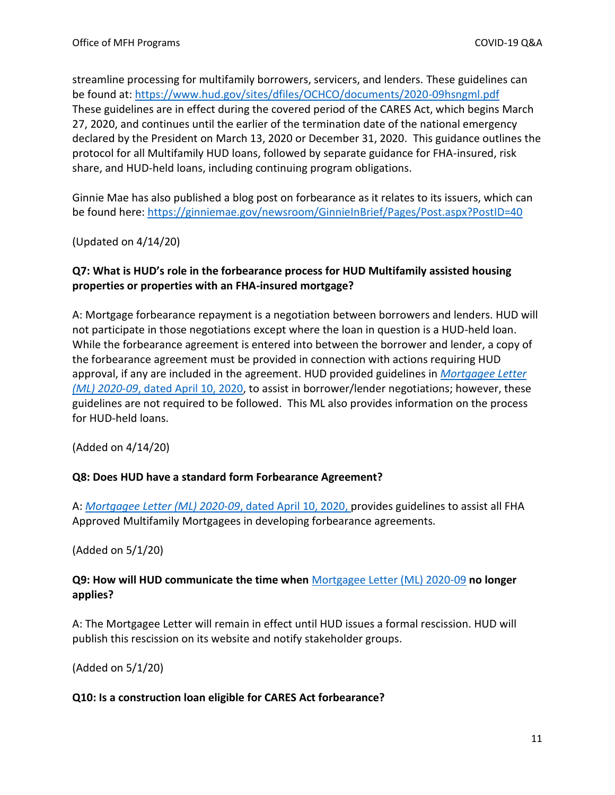streamline processing for multifamily borrowers, servicers, and lenders. These guidelines can be found at:<https://www.hud.gov/sites/dfiles/OCHCO/documents/2020-09hsngml.pdf> These guidelines are in effect during the covered period of the CARES Act, which begins March 27, 2020, and continues until the earlier of the termination date of the national emergency declared by the President on March 13, 2020 or December 31, 2020. This guidance outlines the protocol for all Multifamily HUD loans, followed by separate guidance for FHA-insured, risk share, and HUD-held loans, including continuing program obligations.

Ginnie Mae has also published a blog post on forbearance as it relates to its issuers, which can be found here:<https://ginniemae.gov/newsroom/GinnieInBrief/Pages/Post.aspx?PostID=40>

(Updated on 4/14/20)

# **Q7: What is HUD's role in the forbearance process for HUD Multifamily assisted housing properties or properties with an FHA-insured mortgage?**

A: Mortgage forbearance repayment is a negotiation between borrowers and lenders. HUD will not participate in those negotiations except where the loan in question is a HUD-held loan. While the forbearance agreement is entered into between the borrower and lender, a copy of the forbearance agreement must be provided in connection with actions requiring HUD approval, if any are included in the agreement. HUD provided guidelines in *[Mortgagee Letter](https://www.hud.gov/sites/dfiles/OCHCO/documents/2020-09hsngml.pdf) (ML) 2020-09*[, dated April 10, 2020,](https://www.hud.gov/sites/dfiles/OCHCO/documents/2020-09hsngml.pdf) to assist in borrower/lender negotiations; however, these guidelines are not required to be followed. This ML also provides information on the process for HUD-held loans.

(Added on 4/14/20)

### **Q8: Does HUD have a standard form Forbearance Agreement?**

A: *[Mortgagee Letter \(ML\) 2020-09](https://www.hud.gov/sites/dfiles/OCHCO/documents/2020-09hsngml.pdf)*, dated April 10, 2020, provides guidelines to assist all FHA Approved Multifamily Mortgagees in developing forbearance agreements.

(Added on 5/1/20)

### **Q9: How will HUD communicate the time when** [Mortgagee Letter \(ML\) 2020-09](https://www.hud.gov/sites/dfiles/OCHCO/documents/2020-09hsngml.pdf) **no longer applies?**

A: The Mortgagee Letter will remain in effect until HUD issues a formal rescission. HUD will publish this rescission on its website and notify stakeholder groups.

(Added on 5/1/20)

### **Q10: Is a construction loan eligible for CARES Act forbearance?**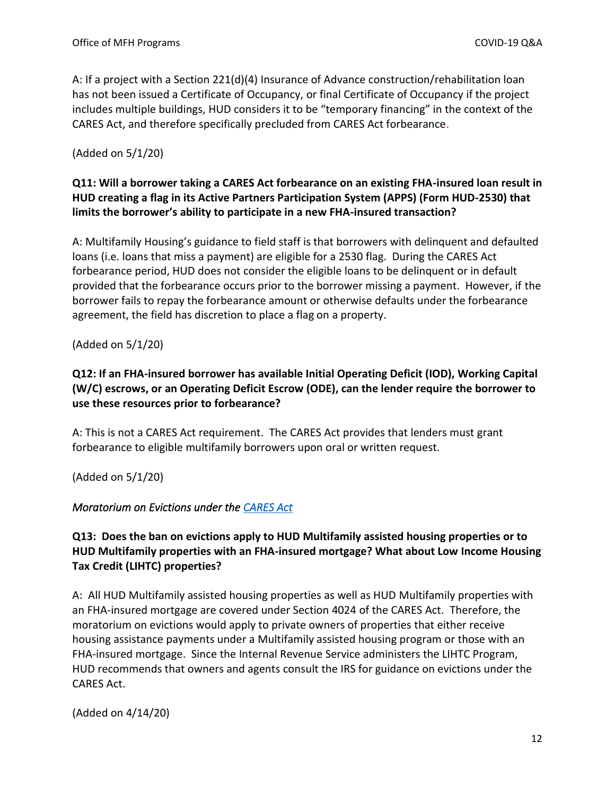A: If a project with a Section 221(d)(4) Insurance of Advance construction/rehabilitation loan has not been issued a Certificate of Occupancy, or final Certificate of Occupancy if the project includes multiple buildings, HUD considers it to be "temporary financing" in the context of the CARES Act, and therefore specifically precluded from CARES Act forbearance.

(Added on 5/1/20)

# **Q11: Will a borrower taking a CARES Act forbearance on an existing FHA-insured loan result in HUD creating a flag in its Active Partners Participation System (APPS) (Form HUD-2530) that limits the borrower's ability to participate in a new FHA-insured transaction?**

A: Multifamily Housing's guidance to field staff is that borrowers with delinquent and defaulted loans (i.e. loans that miss a payment) are eligible for a 2530 flag. During the CARES Act forbearance period, HUD does not consider the eligible loans to be delinquent or in default provided that the forbearance occurs prior to the borrower missing a payment. However, if the borrower fails to repay the forbearance amount or otherwise defaults under the forbearance agreement, the field has discretion to place a flag on a property.

(Added on 5/1/20)

# **Q12: If an FHA-insured borrower has available Initial Operating Deficit (IOD), Working Capital (W/C) escrows, or an Operating Deficit Escrow (ODE), can the lender require the borrower to use these resources prior to forbearance?**

A: This is not a CARES Act requirement. The CARES Act provides that lenders must grant forbearance to eligible multifamily borrowers upon oral or written request.

(Added on 5/1/20)

### <span id="page-11-0"></span>*Moratorium on Evictions under the [CARES Act](https://www.congress.gov/bill/116th-congress/house-bill/748/text?q=%7B%22search%22%3A%5B%22H.R.748+-+CARES+Act%22%5D%7D&r=1&s=6)*

# **Q13: Does the ban on evictions apply to HUD Multifamily assisted housing properties or to HUD Multifamily properties with an FHA-insured mortgage? What about Low Income Housing Tax Credit (LIHTC) properties?**

A: All HUD Multifamily assisted housing properties as well as HUD Multifamily properties with an FHA-insured mortgage are covered under Section 4024 of the CARES Act. Therefore, the moratorium on evictions would apply to private owners of properties that either receive housing assistance payments under a Multifamily assisted housing program or those with an FHA-insured mortgage. Since the Internal Revenue Service administers the LIHTC Program, HUD recommends that owners and agents consult the IRS for guidance on evictions under the CARES Act.

(Added on 4/14/20)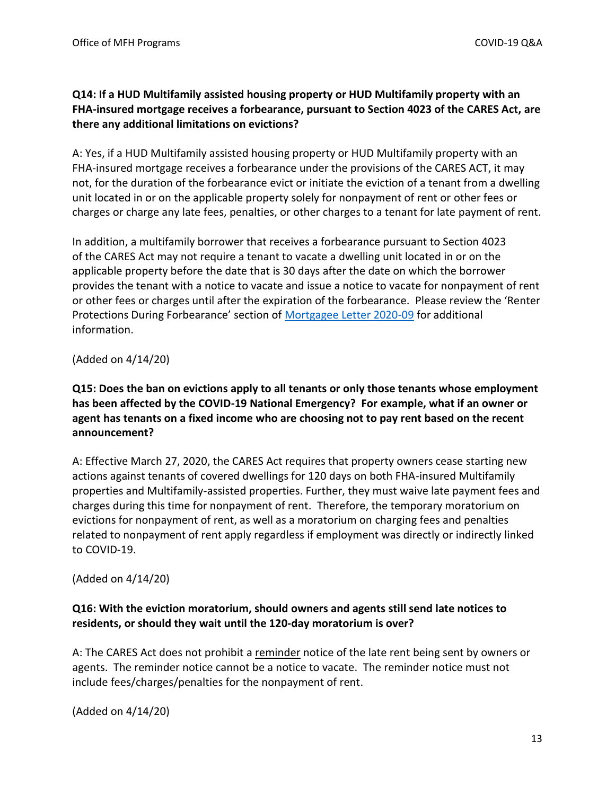### **Q14: If a HUD Multifamily assisted housing property or HUD Multifamily property with an FHA-insured mortgage receives a forbearance, pursuant to Section 4023 of the CARES Act, are there any additional limitations on evictions?**

A: Yes, if a HUD Multifamily assisted housing property or HUD Multifamily property with an FHA-insured mortgage receives a forbearance under the provisions of the CARES ACT, it may not, for the duration of the forbearance evict or initiate the eviction of a tenant from a dwelling unit located in or on the applicable property solely for nonpayment of rent or other fees or charges or charge any late fees, penalties, or other charges to a tenant for late payment of rent.

In addition, a multifamily borrower that receives a forbearance pursuant to Section 4023 of the CARES Act may not require a tenant to vacate a dwelling unit located in or on the applicable property before the date that is 30 days after the date on which the borrower provides the tenant with a notice to vacate and issue a notice to vacate for nonpayment of rent or other fees or charges until after the expiration of the forbearance. Please review the 'Renter Protections During Forbearance' section of [Mortgagee Letter 2020-09](https://www.hud.gov/sites/dfiles/OCHCO/documents/2020-09hsngml.pdf) for additional information.

(Added on 4/14/20)

**Q15: Does the ban on evictions apply to all tenants or only those tenants whose employment has been affected by the COVID-19 National Emergency? For example, what if an owner or agent has tenants on a fixed income who are choosing not to pay rent based on the recent announcement?**

A: Effective March 27, 2020, the CARES Act requires that property owners cease starting new actions against tenants of covered dwellings for 120 days on both FHA-insured Multifamily properties and Multifamily-assisted properties. Further, they must waive late payment fees and charges during this time for nonpayment of rent. Therefore, the temporary moratorium on evictions for nonpayment of rent, as well as a moratorium on charging fees and penalties related to nonpayment of rent apply regardless if employment was directly or indirectly linked to COVID-19.

(Added on 4/14/20)

# **Q16: With the eviction moratorium, should owners and agents still send late notices to residents, or should they wait until the 120-day moratorium is over?**

A: The CARES Act does not prohibit a reminder notice of the late rent being sent by owners or agents. The reminder notice cannot be a notice to vacate. The reminder notice must not include fees/charges/penalties for the nonpayment of rent.

(Added on 4/14/20)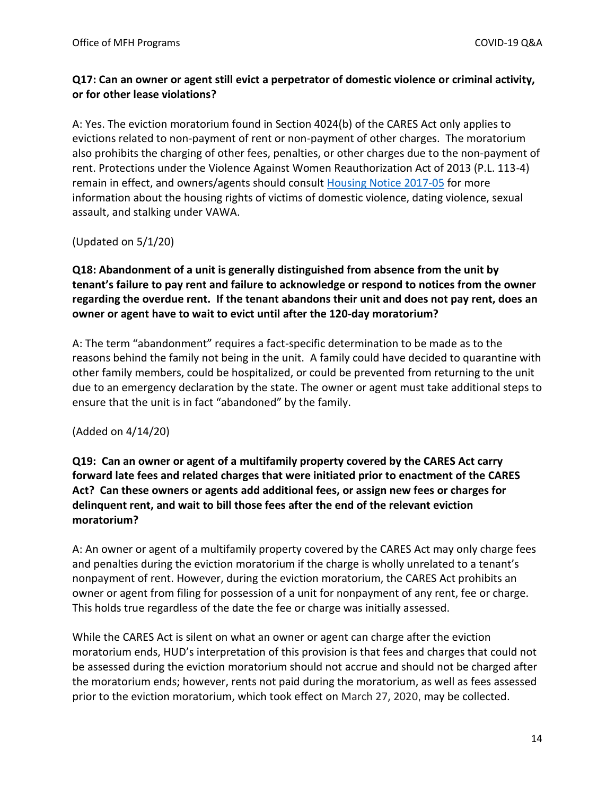### **Q17: Can an owner or agent still evict a perpetrator of domestic violence or criminal activity, or for other lease violations?**

A: Yes. The eviction moratorium found in Section 4024(b) of the CARES Act only applies to evictions related to non-payment of rent or non-payment of other charges. The moratorium also prohibits the charging of other fees, penalties, or other charges due to the non-payment of rent. Protections under the Violence Against Women Reauthorization Act of 2013 (P.L. 113-4) remain in effect, and owners/agents should consult [Housing Notice 2017-05](https://www.hud.gov/sites/documents/17-05HSGN.PDF) for more information about the housing rights of victims of domestic violence, dating violence, sexual assault, and stalking under VAWA.

(Updated on 5/1/20)

# **Q18: Abandonment of a unit is generally distinguished from absence from the unit by tenant's failure to pay rent and failure to acknowledge or respond to notices from the owner regarding the overdue rent. If the tenant abandons their unit and does not pay rent, does an owner or agent have to wait to evict until after the 120-day moratorium?**

A: The term "abandonment" requires a fact-specific determination to be made as to the reasons behind the family not being in the unit. A family could have decided to quarantine with other family members, could be hospitalized, or could be prevented from returning to the unit due to an emergency declaration by the state. The owner or agent must take additional steps to ensure that the unit is in fact "abandoned" by the family.

### (Added on 4/14/20)

# **Q19: Can an owner or agent of a multifamily property covered by the CARES Act carry forward late fees and related charges that were initiated prior to enactment of the CARES Act? Can these owners or agents add additional fees, or assign new fees or charges for delinquent rent, and wait to bill those fees after the end of the relevant eviction moratorium?**

A: An owner or agent of a multifamily property covered by the CARES Act may only charge fees and penalties during the eviction moratorium if the charge is wholly unrelated to a tenant's nonpayment of rent. However, during the eviction moratorium, the CARES Act prohibits an owner or agent from filing for possession of a unit for nonpayment of any rent, fee or charge. This holds true regardless of the date the fee or charge was initially assessed.

While the CARES Act is silent on what an owner or agent can charge after the eviction moratorium ends, HUD's interpretation of this provision is that fees and charges that could not be assessed during the eviction moratorium should not accrue and should not be charged after the moratorium ends; however, rents not paid during the moratorium, as well as fees assessed prior to the eviction moratorium, which took effect on March 27, 2020, may be collected.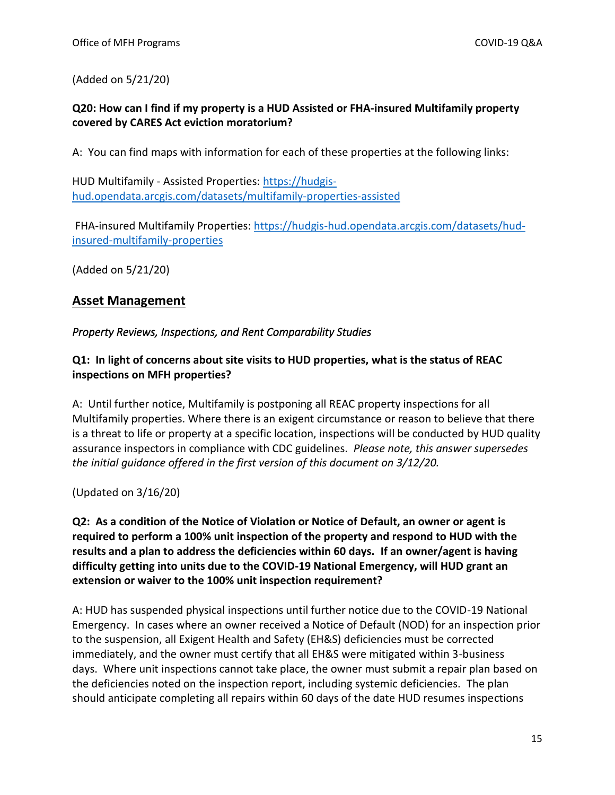(Added on 5/21/20)

### **Q20: How can I find if my property is a HUD Assisted or FHA-insured Multifamily property covered by CARES Act eviction moratorium?**

A: You can find maps with information for each of these properties at the following links:

HUD Multifamily - Assisted Properties[: https://hudgis](https://hudgis-hud.opendata.arcgis.com/datasets/multifamily-properties-assisted)[hud.opendata.arcgis.com/datasets/multifamily-properties-assisted](https://hudgis-hud.opendata.arcgis.com/datasets/multifamily-properties-assisted)

FHA-insured Multifamily Properties: [https://hudgis-hud.opendata.arcgis.com/datasets/hud](https://hudgis-hud.opendata.arcgis.com/datasets/hud-insured-multifamily-properties)[insured-multifamily-properties](https://hudgis-hud.opendata.arcgis.com/datasets/hud-insured-multifamily-properties)

(Added on 5/21/20)

# <span id="page-14-0"></span>**Asset Management**

### <span id="page-14-1"></span>*Property Reviews, Inspections, and Rent Comparability Studies*

### **Q1: In light of concerns about site visits to HUD properties, what is the status of REAC inspections on MFH properties?**

A: Until further notice, Multifamily is postponing all REAC property inspections for all Multifamily properties. Where there is an exigent circumstance or reason to believe that there is a threat to life or property at a specific location, inspections will be conducted by HUD quality assurance inspectors in compliance with CDC guidelines. *Please note, this answer supersedes the initial guidance offered in the first version of this document on 3/12/20.*

(Updated on 3/16/20)

**Q2: As a condition of the Notice of Violation or Notice of Default, an owner or agent is required to perform a 100% unit inspection of the property and respond to HUD with the results and a plan to address the deficiencies within 60 days. If an owner/agent is having difficulty getting into units due to the COVID-19 National Emergency, will HUD grant an extension or waiver to the 100% unit inspection requirement?**

A: HUD has suspended physical inspections until further notice due to the COVID-19 National Emergency. In cases where an owner received a Notice of Default (NOD) for an inspection prior to the suspension, all Exigent Health and Safety (EH&S) deficiencies must be corrected immediately, and the owner must certify that all EH&S were mitigated within 3-business days. Where unit inspections cannot take place, the owner must submit a repair plan based on the deficiencies noted on the inspection report, including systemic deficiencies. The plan should anticipate completing all repairs within 60 days of the date HUD resumes inspections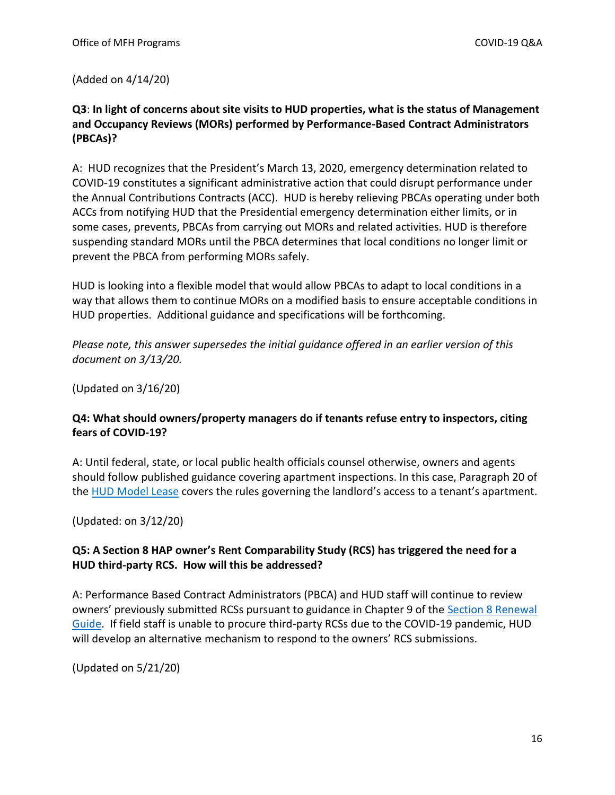(Added on 4/14/20)

## **Q3**: **In light of concerns about site visits to HUD properties, what is the status of Management and Occupancy Reviews (MORs) performed by Performance-Based Contract Administrators (PBCAs)?**

A: HUD recognizes that the President's March 13, 2020, emergency determination related to COVID-19 constitutes a significant administrative action that could disrupt performance under the Annual Contributions Contracts (ACC). HUD is hereby relieving PBCAs operating under both ACCs from notifying HUD that the Presidential emergency determination either limits, or in some cases, prevents, PBCAs from carrying out MORs and related activities. HUD is therefore suspending standard MORs until the PBCA determines that local conditions no longer limit or prevent the PBCA from performing MORs safely.

HUD is looking into a flexible model that would allow PBCAs to adapt to local conditions in a way that allows them to continue MORs on a modified basis to ensure acceptable conditions in HUD properties. Additional guidance and specifications will be forthcoming.

*Please note, this answer supersedes the initial guidance offered in an earlier version of this document on 3/13/20.*

(Updated on 3/16/20)

### **Q4: What should owners/property managers do if tenants refuse entry to inspectors, citing fears of COVID-19?**

A: Until federal, state, or local public health officials counsel otherwise, owners and agents should follow published guidance covering apartment inspections. In this case, Paragraph 20 of the [HUD Model Lease](https://www.hud.gov/sites/dfiles/OCHCO/documents/90105a.pdf) covers the rules governing the landlord's access to a tenant's apartment.

(Updated: on 3/12/20)

# **Q5: A Section 8 HAP owner's Rent Comparability Study (RCS) has triggered the need for a HUD third-party RCS. How will this be addressed?**

A: Performance Based Contract Administrators (PBCA) and HUD staff will continue to review owners' previously submitted RCSs pursuant to guidance in Chapter 9 of the [Section 8 Renewal](https://www.hud.gov/program_offices/housing/mfh/mfhsec8)  [Guide.](https://www.hud.gov/program_offices/housing/mfh/mfhsec8) If field staff is unable to procure third-party RCSs due to the COVID-19 pandemic, HUD will develop an alternative mechanism to respond to the owners' RCS submissions.

(Updated on 5/21/20)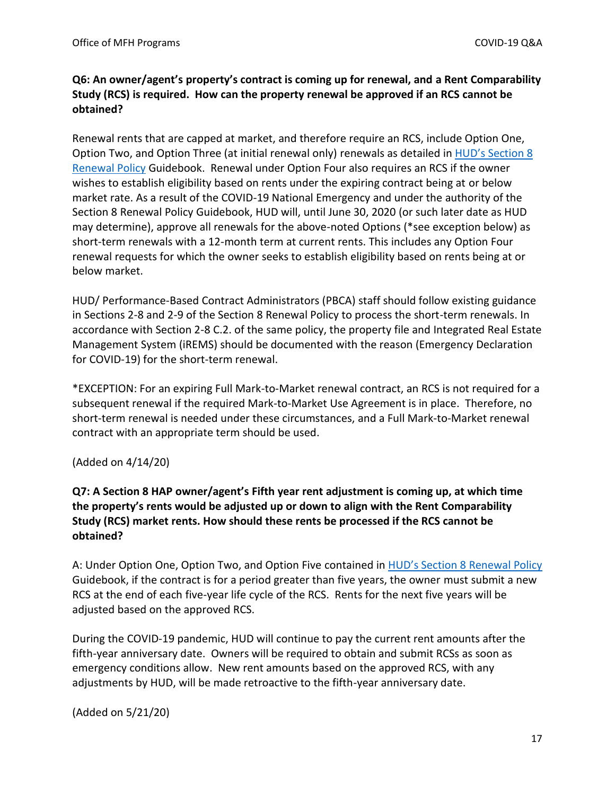# **Q6: An owner/agent's property's contract is coming up for renewal, and a Rent Comparability Study (RCS) is required. How can the property renewal be approved if an RCS cannot be obtained?**

Renewal rents that are capped at market, and therefore require an RCS, include Option One, Option Two, and Option Three (at initial renewal only) renewals as detailed in [HUD's Section 8](https://www.hud.gov/program_offices/housing/mfh/mfhsec8)  [Renewal Policy](https://www.hud.gov/program_offices/housing/mfh/mfhsec8) Guidebook. Renewal under Option Four also requires an RCS if the owner wishes to establish eligibility based on rents under the expiring contract being at or below market rate. As a result of the COVID-19 National Emergency and under the authority of the Section 8 Renewal Policy Guidebook, HUD will, until June 30, 2020 (or such later date as HUD may determine), approve all renewals for the above-noted Options (\*see exception below) as short-term renewals with a 12-month term at current rents. This includes any Option Four renewal requests for which the owner seeks to establish eligibility based on rents being at or below market.

HUD/ Performance-Based Contract Administrators (PBCA) staff should follow existing guidance in Sections 2-8 and 2-9 of the Section 8 Renewal Policy to process the short-term renewals. In accordance with Section 2-8 C.2. of the same policy, the property file and Integrated Real Estate Management System (iREMS) should be documented with the reason (Emergency Declaration for COVID-19) for the short-term renewal.

\*EXCEPTION: For an expiring Full Mark-to-Market renewal contract, an RCS is not required for a subsequent renewal if the required Mark-to-Market Use Agreement is in place. Therefore, no short-term renewal is needed under these circumstances, and a Full Mark-to-Market renewal contract with an appropriate term should be used.

### (Added on 4/14/20)

# **Q7: A Section 8 HAP owner/agent's Fifth year rent adjustment is coming up, at which time the property's rents would be adjusted up or down to align with the Rent Comparability Study (RCS) market rents. How should these rents be processed if the RCS cannot be obtained?**

A: Under Option One, Option Two, and Option Five contained in [HUD's Section 8 Renewal Policy](https://www.hud.gov/program_offices/housing/mfh/mfhsec8) Guidebook, if the contract is for a period greater than five years, the owner must submit a new RCS at the end of each five-year life cycle of the RCS. Rents for the next five years will be adjusted based on the approved RCS.

During the COVID-19 pandemic, HUD will continue to pay the current rent amounts after the fifth-year anniversary date. Owners will be required to obtain and submit RCSs as soon as emergency conditions allow. New rent amounts based on the approved RCS, with any adjustments by HUD, will be made retroactive to the fifth-year anniversary date.

### (Added on 5/21/20)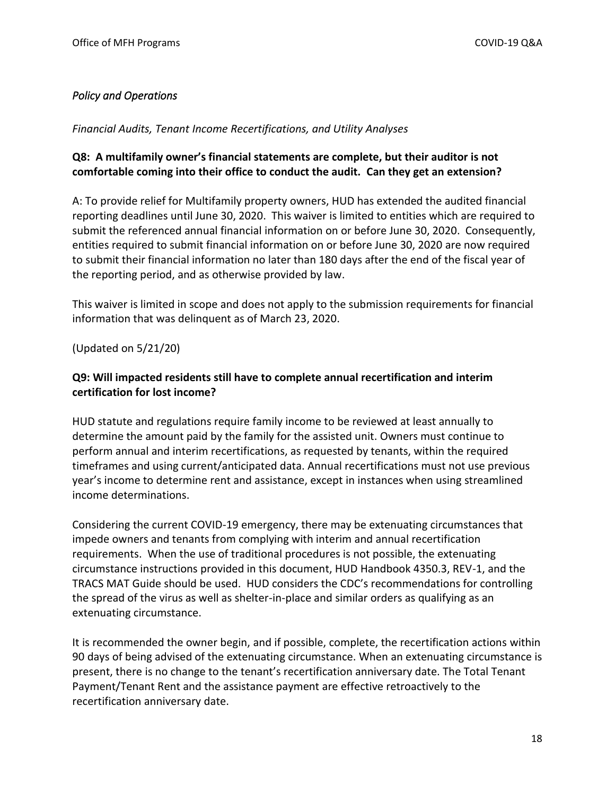# <span id="page-17-0"></span>*Policy and Operations*

<span id="page-17-1"></span>*Financial Audits, Tenant Income Recertifications, and Utility Analyses*

### **Q8: A multifamily owner's financial statements are complete, but their auditor is not comfortable coming into their office to conduct the audit. Can they get an extension?**

A: To provide relief for Multifamily property owners, HUD has extended the audited financial reporting deadlines until June 30, 2020. This waiver is limited to entities which are required to submit the referenced annual financial information on or before June 30, 2020. Consequently, entities required to submit financial information on or before June 30, 2020 are now required to submit their financial information no later than 180 days after the end of the fiscal year of the reporting period, and as otherwise provided by law.

This waiver is limited in scope and does not apply to the submission requirements for financial information that was delinquent as of March 23, 2020.

(Updated on 5/21/20)

## **Q9: Will impacted residents still have to complete annual recertification and interim certification for lost income?**

HUD statute and regulations require family income to be reviewed at least annually to determine the amount paid by the family for the assisted unit. Owners must continue to perform annual and interim recertifications, as requested by tenants, within the required timeframes and using current/anticipated data. Annual recertifications must not use previous year's income to determine rent and assistance, except in instances when using streamlined income determinations.

Considering the current COVID-19 emergency, there may be extenuating circumstances that impede owners and tenants from complying with interim and annual recertification requirements. When the use of traditional procedures is not possible, the extenuating circumstance instructions provided in this document, HUD Handbook 4350.3, REV-1, and the TRACS MAT Guide should be used. HUD considers the CDC's recommendations for controlling the spread of the virus as well as shelter-in-place and similar orders as qualifying as an extenuating circumstance.

It is recommended the owner begin, and if possible, complete, the recertification actions within 90 days of being advised of the extenuating circumstance. When an extenuating circumstance is present, there is no change to the tenant's recertification anniversary date. The Total Tenant Payment/Tenant Rent and the assistance payment are effective retroactively to the recertification anniversary date.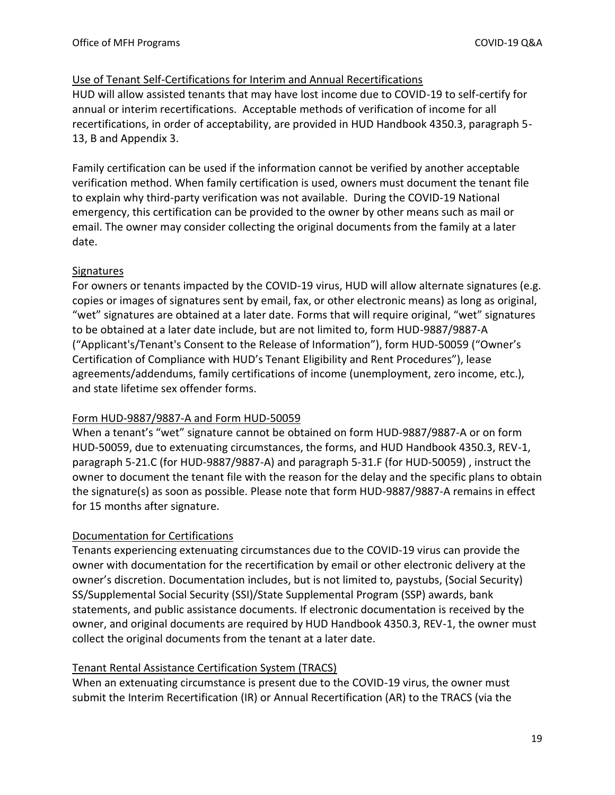### Use of Tenant Self-Certifications for Interim and Annual Recertifications

HUD will allow assisted tenants that may have lost income due to COVID-19 to self-certify for annual or interim recertifications. Acceptable methods of verification of income for all recertifications, in order of acceptability, are provided in HUD Handbook 4350.3, paragraph 5- 13, B and Appendix 3.

Family certification can be used if the information cannot be verified by another acceptable verification method. When family certification is used, owners must document the tenant file to explain why third-party verification was not available. During the COVID-19 National emergency, this certification can be provided to the owner by other means such as mail or email. The owner may consider collecting the original documents from the family at a later date.

### **Signatures**

For owners or tenants impacted by the COVID-19 virus, HUD will allow alternate signatures (e.g. copies or images of signatures sent by email, fax, or other electronic means) as long as original, "wet" signatures are obtained at a later date. Forms that will require original, "wet" signatures to be obtained at a later date include, but are not limited to, form HUD-9887/9887-A ("Applicant's/Tenant's Consent to the Release of Information"), form HUD-50059 ("Owner's Certification of Compliance with HUD's Tenant Eligibility and Rent Procedures"), lease agreements/addendums, family certifications of income (unemployment, zero income, etc.), and state lifetime sex offender forms.

### Form HUD-9887/9887-A and Form HUD-50059

When a tenant's "wet" signature cannot be obtained on form HUD-9887/9887-A or on form HUD-50059, due to extenuating circumstances, the forms, and HUD Handbook 4350.3, REV-1, paragraph 5-21.C (for HUD-9887/9887-A) and paragraph 5-31.F (for HUD-50059) , instruct the owner to document the tenant file with the reason for the delay and the specific plans to obtain the signature(s) as soon as possible. Please note that form HUD-9887/9887-A remains in effect for 15 months after signature.

### Documentation for Certifications

Tenants experiencing extenuating circumstances due to the COVID-19 virus can provide the owner with documentation for the recertification by email or other electronic delivery at the owner's discretion. Documentation includes, but is not limited to, paystubs, (Social Security) SS/Supplemental Social Security (SSI)/State Supplemental Program (SSP) awards, bank statements, and public assistance documents. If electronic documentation is received by the owner, and original documents are required by HUD Handbook 4350.3, REV-1, the owner must collect the original documents from the tenant at a later date.

### Tenant Rental Assistance Certification System (TRACS)

When an extenuating circumstance is present due to the COVID-19 virus, the owner must submit the Interim Recertification (IR) or Annual Recertification (AR) to the TRACS (via the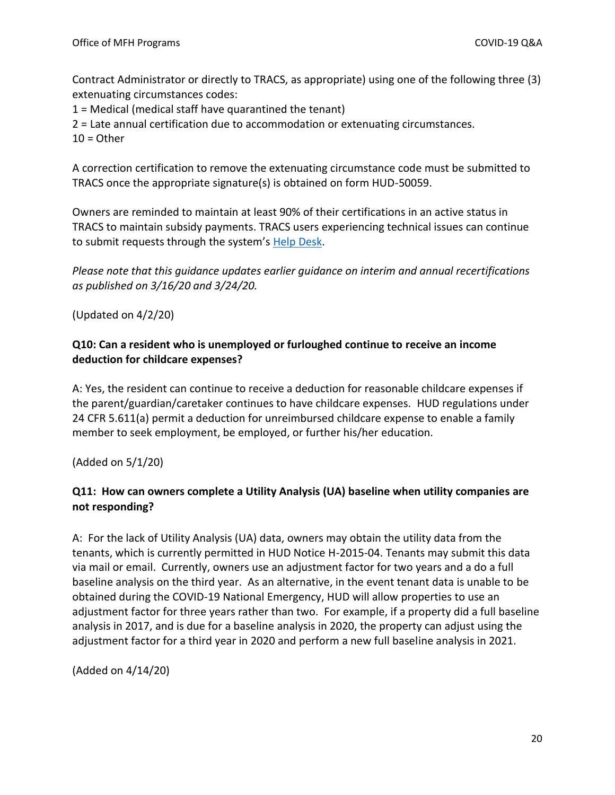Contract Administrator or directly to TRACS, as appropriate) using one of the following three (3) extenuating circumstances codes:

1 = Medical (medical staff have quarantined the tenant)

2 = Late annual certification due to accommodation or extenuating circumstances.

 $10 =$ Other

A correction certification to remove the extenuating circumstance code must be submitted to TRACS once the appropriate signature(s) is obtained on form HUD-50059.

Owners are reminded to maintain at least 90% of their certifications in an active status in TRACS to maintain subsidy payments. TRACS users experiencing technical issues can continue to submit requests through the system's [Help Desk.](https://www.hud.gov/program_offices/housing/mfh/trx/trxsum)

*Please note that this guidance updates earlier guidance on interim and annual recertifications as published on 3/16/20 and 3/24/20.*

(Updated on 4/2/20)

### **Q10: Can a resident who is unemployed or furloughed continue to receive an income deduction for childcare expenses?**

A: Yes, the resident can continue to receive a deduction for reasonable childcare expenses if the parent/guardian/caretaker continues to have childcare expenses. HUD regulations under 24 CFR 5.611(a) permit a deduction for unreimbursed childcare expense to enable a family member to seek employment, be employed, or further his/her education.

(Added on 5/1/20)

# **Q11: How can owners complete a Utility Analysis (UA) baseline when utility companies are not responding?**

A: For the lack of Utility Analysis (UA) data, owners may obtain the utility data from the tenants, which is currently permitted in HUD Notice H-2015-04. Tenants may submit this data via mail or email. Currently, owners use an adjustment factor for two years and a do a full baseline analysis on the third year. As an alternative, in the event tenant data is unable to be obtained during the COVID-19 National Emergency, HUD will allow properties to use an adjustment factor for three years rather than two. For example, if a property did a full baseline analysis in 2017, and is due for a baseline analysis in 2020, the property can adjust using the adjustment factor for a third year in 2020 and perform a new full baseline analysis in 2021.

(Added on 4/14/20)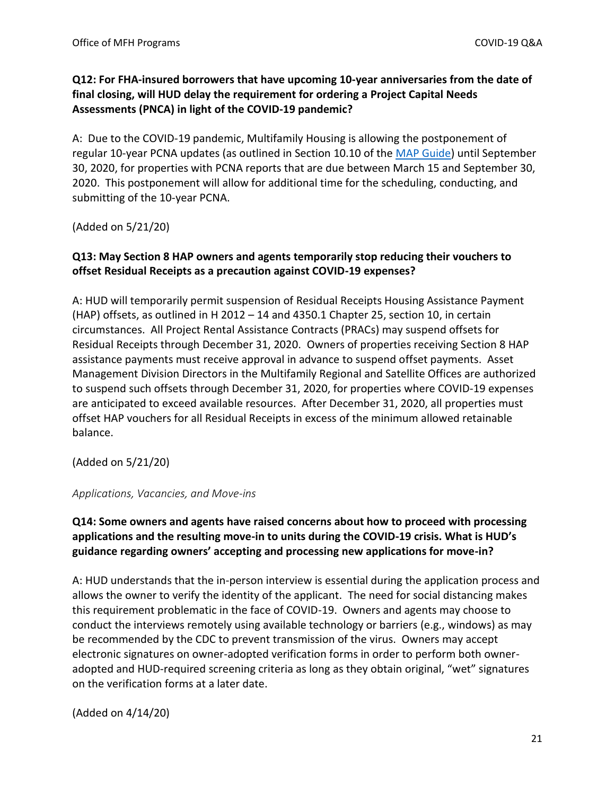### **Q12: For FHA-insured borrowers that have upcoming 10-year anniversaries from the date of final closing, will HUD delay the requirement for ordering a Project Capital Needs Assessments (PNCA) in light of the COVID-19 pandemic?**

A: Due to the COVID-19 pandemic, Multifamily Housing is allowing the postponement of regular 10-year PCNA updates (as outlined in Section 10.10 of the [MAP Guide\)](https://www.hud.gov/sites/documents/4430GHSGG.PDF) until September 30, 2020, for properties with PCNA reports that are due between March 15 and September 30, 2020. This postponement will allow for additional time for the scheduling, conducting, and submitting of the 10-year PCNA.

(Added on 5/21/20)

### **Q13: May Section 8 HAP owners and agents temporarily stop reducing their vouchers to offset Residual Receipts as a precaution against COVID-19 expenses?**

A: HUD will temporarily permit suspension of Residual Receipts Housing Assistance Payment (HAP) offsets, as outlined in H 2012 – 14 and 4350.1 Chapter 25, section 10, in certain circumstances. All Project Rental Assistance Contracts (PRACs) may suspend offsets for Residual Receipts through December 31, 2020. Owners of properties receiving Section 8 HAP assistance payments must receive approval in advance to suspend offset payments. Asset Management Division Directors in the Multifamily Regional and Satellite Offices are authorized to suspend such offsets through December 31, 2020, for properties where COVID-19 expenses are anticipated to exceed available resources. After December 31, 2020, all properties must offset HAP vouchers for all Residual Receipts in excess of the minimum allowed retainable balance.

(Added on 5/21/20)

<span id="page-20-0"></span>*Applications, Vacancies, and Move-ins*

# **Q14: Some owners and agents have raised concerns about how to proceed with processing applications and the resulting move-in to units during the COVID-19 crisis. What is HUD's guidance regarding owners' accepting and processing new applications for move-in?**

A: HUD understands that the in-person interview is essential during the application process and allows the owner to verify the identity of the applicant. The need for social distancing makes this requirement problematic in the face of COVID-19. Owners and agents may choose to conduct the interviews remotely using available technology or barriers (e.g., windows) as may be recommended by the CDC to prevent transmission of the virus. Owners may accept electronic signatures on owner-adopted verification forms in order to perform both owneradopted and HUD-required screening criteria as long as they obtain original, "wet" signatures on the verification forms at a later date.

(Added on 4/14/20)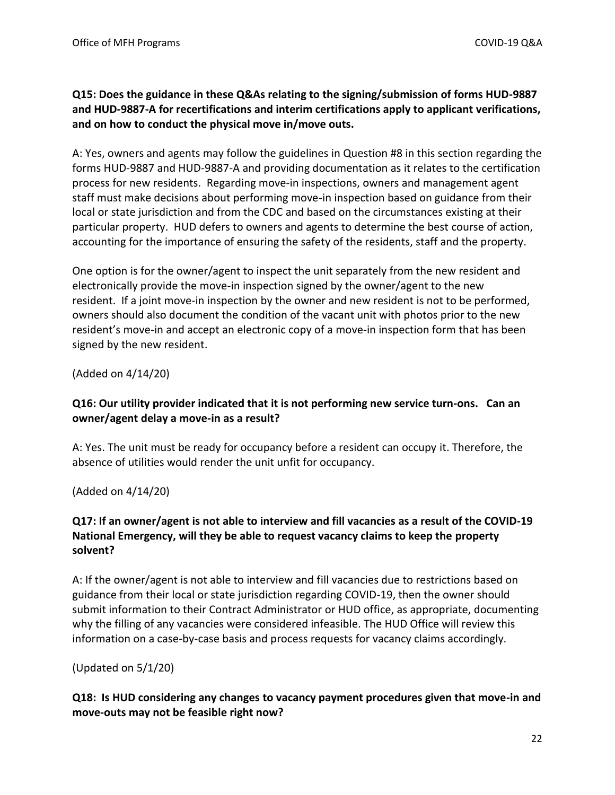### **Q15: Does the guidance in these Q&As relating to the signing/submission of forms HUD-9887 and HUD-9887-A for recertifications and interim certifications apply to applicant verifications, and on how to conduct the physical move in/move outs.**

A: Yes, owners and agents may follow the guidelines in Question #8 in this section regarding the forms HUD-9887 and HUD-9887-A and providing documentation as it relates to the certification process for new residents. Regarding move-in inspections, owners and management agent staff must make decisions about performing move-in inspection based on guidance from their local or state jurisdiction and from the CDC and based on the circumstances existing at their particular property. HUD defers to owners and agents to determine the best course of action, accounting for the importance of ensuring the safety of the residents, staff and the property.

One option is for the owner/agent to inspect the unit separately from the new resident and electronically provide the move-in inspection signed by the owner/agent to the new resident. If a joint move-in inspection by the owner and new resident is not to be performed, owners should also document the condition of the vacant unit with photos prior to the new resident's move-in and accept an electronic copy of a move-in inspection form that has been signed by the new resident.

(Added on 4/14/20)

# **Q16: Our utility provider indicated that it is not performing new service turn-ons. Can an owner/agent delay a move-in as a result?**

A: Yes. The unit must be ready for occupancy before a resident can occupy it. Therefore, the absence of utilities would render the unit unfit for occupancy.

(Added on 4/14/20)

# **Q17: If an owner/agent is not able to interview and fill vacancies as a result of the COVID-19 National Emergency, will they be able to request vacancy claims to keep the property solvent?**

A: If the owner/agent is not able to interview and fill vacancies due to restrictions based on guidance from their local or state jurisdiction regarding COVID-19, then the owner should submit information to their Contract Administrator or HUD office, as appropriate, documenting why the filling of any vacancies were considered infeasible. The HUD Office will review this information on a case-by-case basis and process requests for vacancy claims accordingly.

(Updated on 5/1/20)

### **Q18: Is HUD considering any changes to vacancy payment procedures given that move-in and move-outs may not be feasible right now?**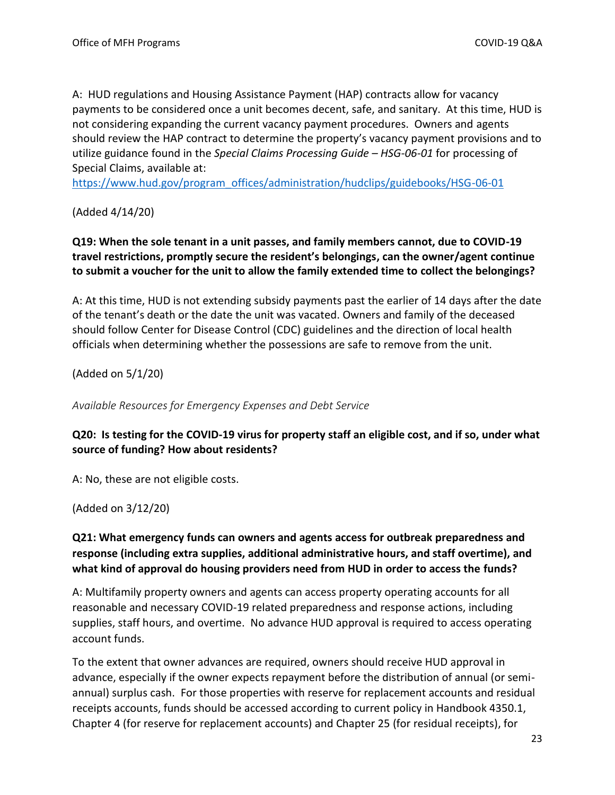A: HUD regulations and Housing Assistance Payment (HAP) contracts allow for vacancy payments to be considered once a unit becomes decent, safe, and sanitary. At this time, HUD is not considering expanding the current vacancy payment procedures. Owners and agents should review the HAP contract to determine the property's vacancy payment provisions and to utilize guidance found in the *Special Claims Processing Guide – HSG-06-01* for processing of Special Claims, available at:

[https://www.hud.gov/program\\_offices/administration/hudclips/guidebooks/HSG-06-01](https://www.hud.gov/program_offices/administration/hudclips/guidebooks/HSG-06-01)

(Added 4/14/20)

**Q19: When the sole tenant in a unit passes, and family members cannot, due to COVID-19 travel restrictions, promptly secure the resident's belongings, can the owner/agent continue to submit a voucher for the unit to allow the family extended time to collect the belongings?**

A: At this time, HUD is not extending subsidy payments past the earlier of 14 days after the date of the tenant's death or the date the unit was vacated. Owners and family of the deceased should follow Center for Disease Control (CDC) guidelines and the direction of local health officials when determining whether the possessions are safe to remove from the unit.

(Added on 5/1/20)

<span id="page-22-0"></span>*Available Resources for Emergency Expenses and Debt Service*

### **Q20: Is testing for the COVID-19 virus for property staff an eligible cost, and if so, under what source of funding? How about residents?**

A: No, these are not eligible costs.

(Added on 3/12/20)

# **Q21: What emergency funds can owners and agents access for outbreak preparedness and response (including extra supplies, additional administrative hours, and staff overtime), and what kind of approval do housing providers need from HUD in order to access the funds?**

A: Multifamily property owners and agents can access property operating accounts for all reasonable and necessary COVID-19 related preparedness and response actions, including supplies, staff hours, and overtime. No advance HUD approval is required to access operating account funds.

To the extent that owner advances are required, owners should receive HUD approval in advance, especially if the owner expects repayment before the distribution of annual (or semiannual) surplus cash. For those properties with reserve for replacement accounts and residual receipts accounts, funds should be accessed according to current policy in Handbook 4350.1, Chapter 4 (for reserve for replacement accounts) and Chapter 25 (for residual receipts), for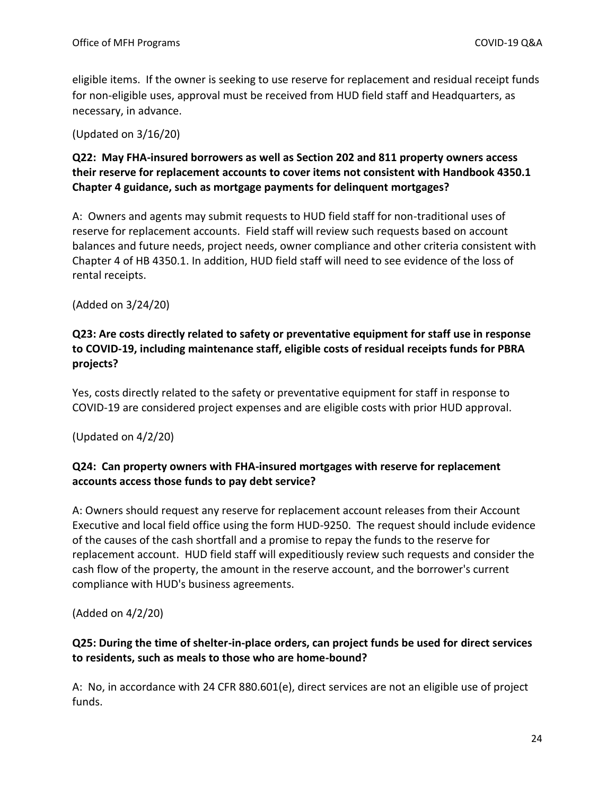eligible items. If the owner is seeking to use reserve for replacement and residual receipt funds for non-eligible uses, approval must be received from HUD field staff and Headquarters, as necessary, in advance.

(Updated on 3/16/20)

# **Q22: May FHA-insured borrowers as well as Section 202 and 811 property owners access their reserve for replacement accounts to cover items not consistent with Handbook 4350.1 Chapter 4 guidance, such as mortgage payments for delinquent mortgages?**

A: Owners and agents may submit requests to HUD field staff for non-traditional uses of reserve for replacement accounts. Field staff will review such requests based on account balances and future needs, project needs, owner compliance and other criteria consistent with Chapter 4 of HB 4350.1. In addition, HUD field staff will need to see evidence of the loss of rental receipts.

(Added on 3/24/20)

# **Q23: Are costs directly related to safety or preventative equipment for staff use in response to COVID-19, including maintenance staff, eligible costs of residual receipts funds for PBRA projects?**

Yes, costs directly related to the safety or preventative equipment for staff in response to COVID-19 are considered project expenses and are eligible costs with prior HUD approval.

(Updated on 4/2/20)

# **Q24: Can property owners with FHA-insured mortgages with reserve for replacement accounts access those funds to pay debt service?**

A: Owners should request any reserve for replacement account releases from their Account Executive and local field office using the form HUD-9250. The request should include evidence of the causes of the cash shortfall and a promise to repay the funds to the reserve for replacement account. HUD field staff will expeditiously review such requests and consider the cash flow of the property, the amount in the reserve account, and the borrower's current compliance with HUD's business agreements.

(Added on 4/2/20)

# **Q25: During the time of shelter-in-place orders, can project funds be used for direct services to residents, such as meals to those who are home-bound?**

A: No, in accordance with 24 CFR 880.601(e), direct services are not an eligible use of project funds.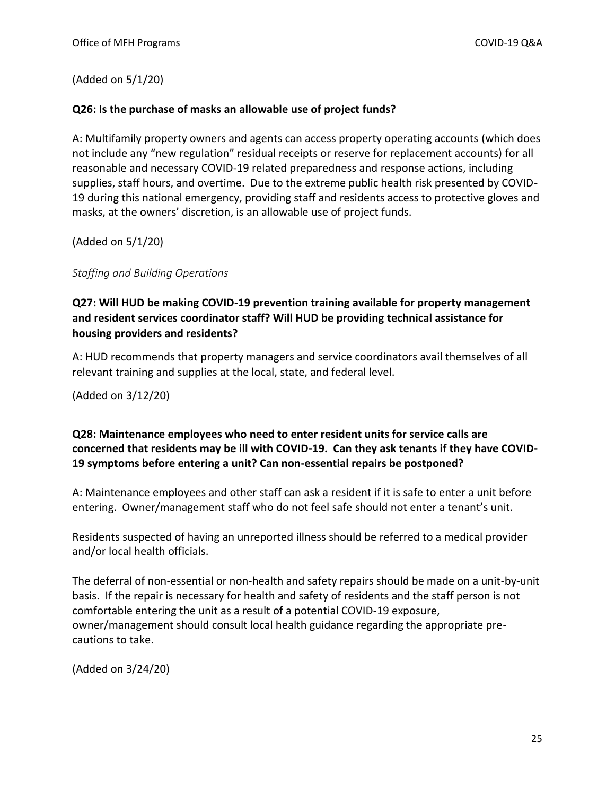(Added on 5/1/20)

### **Q26: Is the purchase of masks an allowable use of project funds?**

A: Multifamily property owners and agents can access property operating accounts (which does not include any "new regulation" residual receipts or reserve for replacement accounts) for all reasonable and necessary COVID-19 related preparedness and response actions, including supplies, staff hours, and overtime. Due to the extreme public health risk presented by COVID-19 during this national emergency, providing staff and residents access to protective gloves and masks, at the owners' discretion, is an allowable use of project funds.

(Added on 5/1/20)

<span id="page-24-0"></span>*Staffing and Building Operations*

# **Q27: Will HUD be making COVID-19 prevention training available for property management and resident services coordinator staff? Will HUD be providing technical assistance for housing providers and residents?**

A: HUD recommends that property managers and service coordinators avail themselves of all relevant training and supplies at the local, state, and federal level.

(Added on 3/12/20)

### **Q28: Maintenance employees who need to enter resident units for service calls are concerned that residents may be ill with COVID-19. Can they ask tenants if they have COVID-19 symptoms before entering a unit? Can non-essential repairs be postponed?**

A: Maintenance employees and other staff can ask a resident if it is safe to enter a unit before entering. Owner/management staff who do not feel safe should not enter a tenant's unit.

Residents suspected of having an unreported illness should be referred to a medical provider and/or local health officials.

The deferral of non-essential or non-health and safety repairs should be made on a unit-by-unit basis. If the repair is necessary for health and safety of residents and the staff person is not comfortable entering the unit as a result of a potential COVID-19 exposure, owner/management should consult local health guidance regarding the appropriate precautions to take.

(Added on 3/24/20)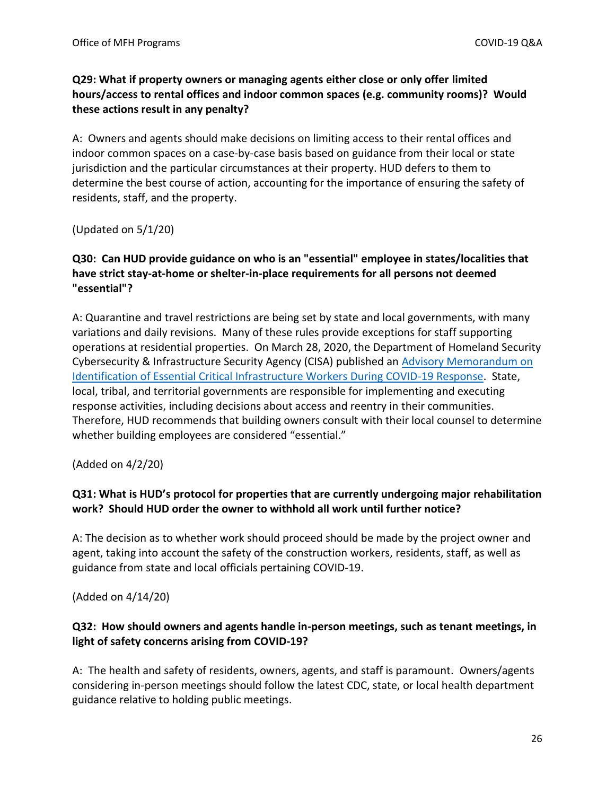# **Q29: What if property owners or managing agents either close or only offer limited hours/access to rental offices and indoor common spaces (e.g. community rooms)? Would these actions result in any penalty?**

A: Owners and agents should make decisions on limiting access to their rental offices and indoor common spaces on a case-by-case basis based on guidance from their local or state jurisdiction and the particular circumstances at their property. HUD defers to them to determine the best course of action, accounting for the importance of ensuring the safety of residents, staff, and the property.

(Updated on 5/1/20)

# **Q30: Can HUD provide guidance on who is an "essential" employee in states/localities that have strict stay-at-home or shelter-in-place requirements for all persons not deemed "essential"?**

A: Quarantine and travel restrictions are being set by state and local governments, with many variations and daily revisions. Many of these rules provide exceptions for staff supporting operations at residential properties. On March 28, 2020, the Department of Homeland Security Cybersecurity & Infrastructure Security Agency (CISA) published an [Advisory Memorandum on](https://www.cisa.gov/publication/guidance-essential-critical-infrastructure-workforce#download)  [Identification of Essential Critical Infrastructure Workers During COVID-19 Response.](https://www.cisa.gov/publication/guidance-essential-critical-infrastructure-workforce#download) State, local, tribal, and territorial governments are responsible for implementing and executing response activities, including decisions about access and reentry in their communities. Therefore, HUD recommends that building owners consult with their local counsel to determine whether building employees are considered "essential."

(Added on 4/2/20)

# **Q31: What is HUD's protocol for properties that are currently undergoing major rehabilitation work? Should HUD order the owner to withhold all work until further notice?**

A: The decision as to whether work should proceed should be made by the project owner and agent, taking into account the safety of the construction workers, residents, staff, as well as guidance from state and local officials pertaining COVID-19.

(Added on 4/14/20)

### **Q32: How should owners and agents handle in-person meetings, such as tenant meetings, in light of safety concerns arising from COVID-19?**

A: The health and safety of residents, owners, agents, and staff is paramount. Owners/agents considering in-person meetings should follow the latest CDC, state, or local health department guidance relative to holding public meetings.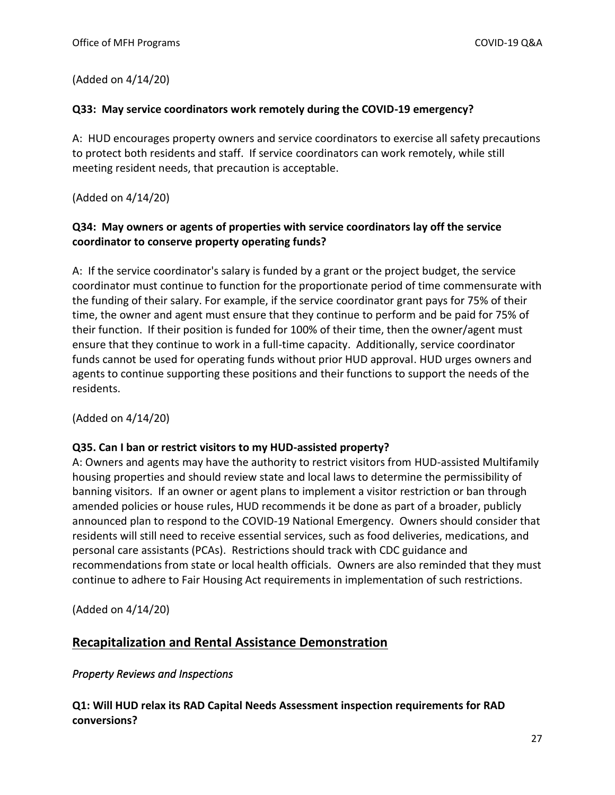(Added on 4/14/20)

#### **Q33: May service coordinators work remotely during the COVID-19 emergency?**

A: HUD encourages property owners and service coordinators to exercise all safety precautions to protect both residents and staff. If service coordinators can work remotely, while still meeting resident needs, that precaution is acceptable.

(Added on 4/14/20)

### **Q34: May owners or agents of properties with service coordinators lay off the service coordinator to conserve property operating funds?**

A: If the service coordinator's salary is funded by a grant or the project budget, the service coordinator must continue to function for the proportionate period of time commensurate with the funding of their salary. For example, if the service coordinator grant pays for 75% of their time, the owner and agent must ensure that they continue to perform and be paid for 75% of their function. If their position is funded for 100% of their time, then the owner/agent must ensure that they continue to work in a full-time capacity. Additionally, service coordinator funds cannot be used for operating funds without prior HUD approval. HUD urges owners and agents to continue supporting these positions and their functions to support the needs of the residents.

(Added on 4/14/20)

### **Q35. Can I ban or restrict visitors to my HUD-assisted property?**

A: Owners and agents may have the authority to restrict visitors from HUD-assisted Multifamily housing properties and should review state and local laws to determine the permissibility of banning visitors. If an owner or agent plans to implement a visitor restriction or ban through amended policies or house rules, HUD recommends it be done as part of a broader, publicly announced plan to respond to the COVID-19 National Emergency. Owners should consider that residents will still need to receive essential services, such as food deliveries, medications, and personal care assistants (PCAs). Restrictions should track with CDC guidance and recommendations from state or local health officials. Owners are also reminded that they must continue to adhere to Fair Housing Act requirements in implementation of such restrictions.

(Added on 4/14/20)

# <span id="page-26-0"></span>**Recapitalization and Rental Assistance Demonstration**

### <span id="page-26-1"></span>*Property Reviews and Inspections*

**Q1: Will HUD relax its RAD Capital Needs Assessment inspection requirements for RAD conversions?**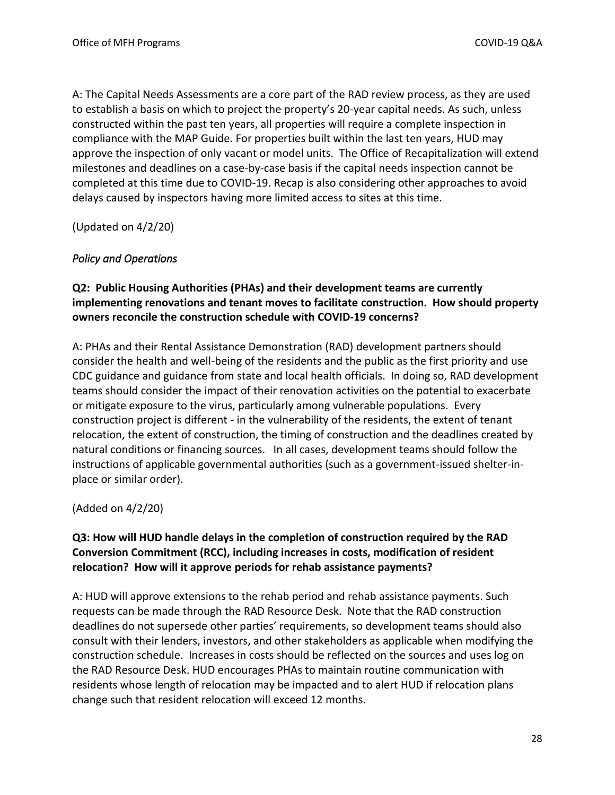A: The Capital Needs Assessments are a core part of the RAD review process, as they are used to establish a basis on which to project the property's 20-year capital needs. As such, unless constructed within the past ten years, all properties will require a complete inspection in compliance with the MAP Guide. For properties built within the last ten years, HUD may approve the inspection of only vacant or model units. The Office of Recapitalization will extend milestones and deadlines on a case-by-case basis if the capital needs inspection cannot be completed at this time due to COVID-19. Recap is also considering other approaches to avoid delays caused by inspectors having more limited access to sites at this time.

(Updated on 4/2/20)

### <span id="page-27-0"></span>*Policy and Operations*

# **Q2: Public Housing Authorities (PHAs) and their development teams are currently implementing renovations and tenant moves to facilitate construction. How should property owners reconcile the construction schedule with COVID-19 concerns?**

A: PHAs and their Rental Assistance Demonstration (RAD) development partners should consider the health and well-being of the residents and the public as the first priority and use CDC guidance and guidance from state and local health officials. In doing so, RAD development teams should consider the impact of their renovation activities on the potential to exacerbate or mitigate exposure to the virus, particularly among vulnerable populations. Every construction project is different - in the vulnerability of the residents, the extent of tenant relocation, the extent of construction, the timing of construction and the deadlines created by natural conditions or financing sources. In all cases, development teams should follow the instructions of applicable governmental authorities (such as a government-issued shelter-inplace or similar order).

(Added on 4/2/20)

### **Q3: How will HUD handle delays in the completion of construction required by the RAD Conversion Commitment (RCC), including increases in costs, modification of resident relocation? How will it approve periods for rehab assistance payments?**

A: HUD will approve extensions to the rehab period and rehab assistance payments. Such requests can be made through the RAD Resource Desk. Note that the RAD construction deadlines do not supersede other parties' requirements, so development teams should also consult with their lenders, investors, and other stakeholders as applicable when modifying the construction schedule. Increases in costs should be reflected on the sources and uses log on the RAD Resource Desk. HUD encourages PHAs to maintain routine communication with residents whose length of relocation may be impacted and to alert HUD if relocation plans change such that resident relocation will exceed 12 months.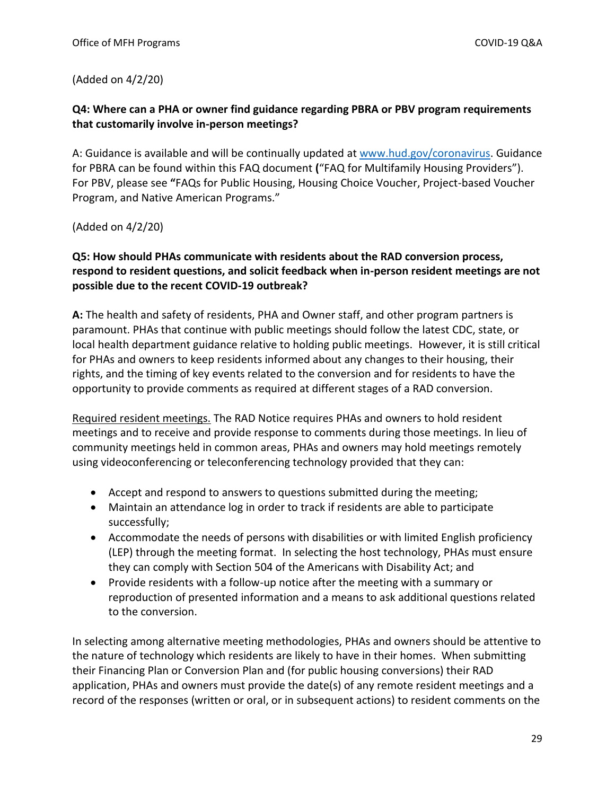## (Added on 4/2/20)

# **Q4: Where can a PHA or owner find guidance regarding PBRA or PBV program requirements that customarily involve in-person meetings?**

A: Guidance is available and will be continually updated at [www.hud.gov/coronavirus.](http://www.hud.gov/coronavirus) Guidance for PBRA can be found within this FAQ document **(**"FAQ for Multifamily Housing Providers"). For PBV, please see **"**FAQs for Public Housing, Housing Choice Voucher, Project-based Voucher Program, and Native American Programs."

### (Added on 4/2/20)

# **Q5: How should PHAs communicate with residents about the RAD conversion process, respond to resident questions, and solicit feedback when in-person resident meetings are not possible due to the recent COVID-19 outbreak?**

**A:** The health and safety of residents, PHA and Owner staff, and other program partners is paramount. PHAs that continue with public meetings should follow the latest CDC, state, or local health department guidance relative to holding public meetings. However, it is still critical for PHAs and owners to keep residents informed about any changes to their housing, their rights, and the timing of key events related to the conversion and for residents to have the opportunity to provide comments as required at different stages of a RAD conversion.

Required resident meetings. The RAD Notice requires PHAs and owners to hold resident meetings and to receive and provide response to comments during those meetings. In lieu of community meetings held in common areas, PHAs and owners may hold meetings remotely using videoconferencing or teleconferencing technology provided that they can:

- Accept and respond to answers to questions submitted during the meeting;
- Maintain an attendance log in order to track if residents are able to participate successfully;
- Accommodate the needs of persons with disabilities or with limited English proficiency (LEP) through the meeting format. In selecting the host technology, PHAs must ensure they can comply with Section 504 of the Americans with Disability Act; and
- Provide residents with a follow-up notice after the meeting with a summary or reproduction of presented information and a means to ask additional questions related to the conversion.

In selecting among alternative meeting methodologies, PHAs and owners should be attentive to the nature of technology which residents are likely to have in their homes. When submitting their Financing Plan or Conversion Plan and (for public housing conversions) their RAD application, PHAs and owners must provide the date(s) of any remote resident meetings and a record of the responses (written or oral, or in subsequent actions) to resident comments on the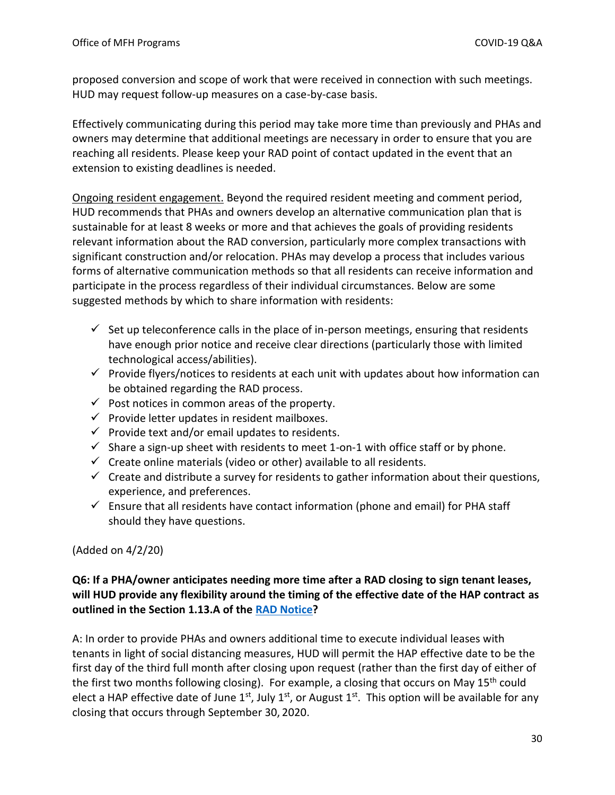proposed conversion and scope of work that were received in connection with such meetings. HUD may request follow-up measures on a case-by-case basis.

Effectively communicating during this period may take more time than previously and PHAs and owners may determine that additional meetings are necessary in order to ensure that you are reaching all residents. Please keep your RAD point of contact updated in the event that an extension to existing deadlines is needed.

Ongoing resident engagement. Beyond the required resident meeting and comment period, HUD recommends that PHAs and owners develop an alternative communication plan that is sustainable for at least 8 weeks or more and that achieves the goals of providing residents relevant information about the RAD conversion, particularly more complex transactions with significant construction and/or relocation. PHAs may develop a process that includes various forms of alternative communication methods so that all residents can receive information and participate in the process regardless of their individual circumstances. Below are some suggested methods by which to share information with residents:

- $\checkmark$  Set up teleconference calls in the place of in-person meetings, ensuring that residents have enough prior notice and receive clear directions (particularly those with limited technological access/abilities).
- $\checkmark$  Provide flyers/notices to residents at each unit with updates about how information can be obtained regarding the RAD process.
- $\checkmark$  Post notices in common areas of the property.
- $\checkmark$  Provide letter updates in resident mailboxes.
- $\checkmark$  Provide text and/or email updates to residents.
- $\checkmark$  Share a sign-up sheet with residents to meet 1-on-1 with office staff or by phone.
- $\checkmark$  Create online materials (video or other) available to all residents.
- $\checkmark$  Create and distribute a survey for residents to gather information about their questions, experience, and preferences.
- $\checkmark$  Ensure that all residents have contact information (phone and email) for PHA staff should they have questions.

# (Added on 4/2/20)

# **Q6: If a PHA/owner anticipates needing more time after a RAD closing to sign tenant leases, will HUD provide any flexibility around the timing of the effective date of the HAP contract as outlined in the Section 1.13.A of the [RAD Notice?](https://www.hud.gov/sites/dfiles/Housing/documents/H-2019-09-PIH-2019-23_RAD_Notice%20Rev4_20190905.pdf)**

A: In order to provide PHAs and owners additional time to execute individual leases with tenants in light of social distancing measures, HUD will permit the HAP effective date to be the first day of the third full month after closing upon request (rather than the first day of either of the first two months following closing). For example, a closing that occurs on May  $15<sup>th</sup>$  could elect a HAP effective date of June 1<sup>st</sup>, July 1<sup>st</sup>, or August 1<sup>st</sup>. This option will be available for any closing that occurs through September 30, 2020.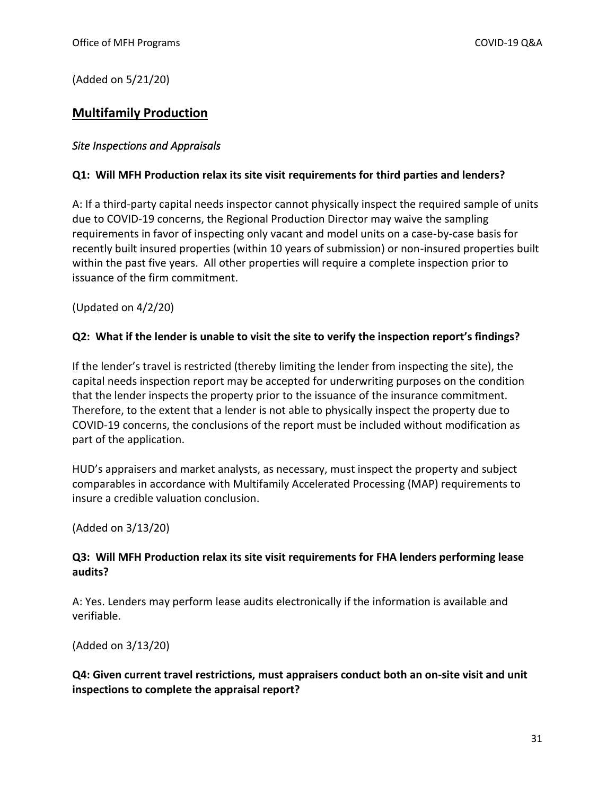(Added on 5/21/20)

# <span id="page-30-0"></span>**Multifamily Production**

### <span id="page-30-1"></span>*Site Inspections and Appraisals*

### **Q1: Will MFH Production relax its site visit requirements for third parties and lenders?**

A: If a third-party capital needs inspector cannot physically inspect the required sample of units due to COVID-19 concerns, the Regional Production Director may waive the sampling requirements in favor of inspecting only vacant and model units on a case-by-case basis for recently built insured properties (within 10 years of submission) or non-insured properties built within the past five years. All other properties will require a complete inspection prior to issuance of the firm commitment.

(Updated on 4/2/20)

#### **Q2: What if the lender is unable to visit the site to verify the inspection report's findings?**

If the lender's travel is restricted (thereby limiting the lender from inspecting the site), the capital needs inspection report may be accepted for underwriting purposes on the condition that the lender inspects the property prior to the issuance of the insurance commitment. Therefore, to the extent that a lender is not able to physically inspect the property due to COVID-19 concerns, the conclusions of the report must be included without modification as part of the application.

HUD's appraisers and market analysts, as necessary, must inspect the property and subject comparables in accordance with Multifamily Accelerated Processing (MAP) requirements to insure a credible valuation conclusion.

(Added on 3/13/20)

### **Q3: Will MFH Production relax its site visit requirements for FHA lenders performing lease audits?**

A: Yes. Lenders may perform lease audits electronically if the information is available and verifiable.

(Added on 3/13/20)

### **Q4: Given current travel restrictions, must appraisers conduct both an on-site visit and unit inspections to complete the appraisal report?**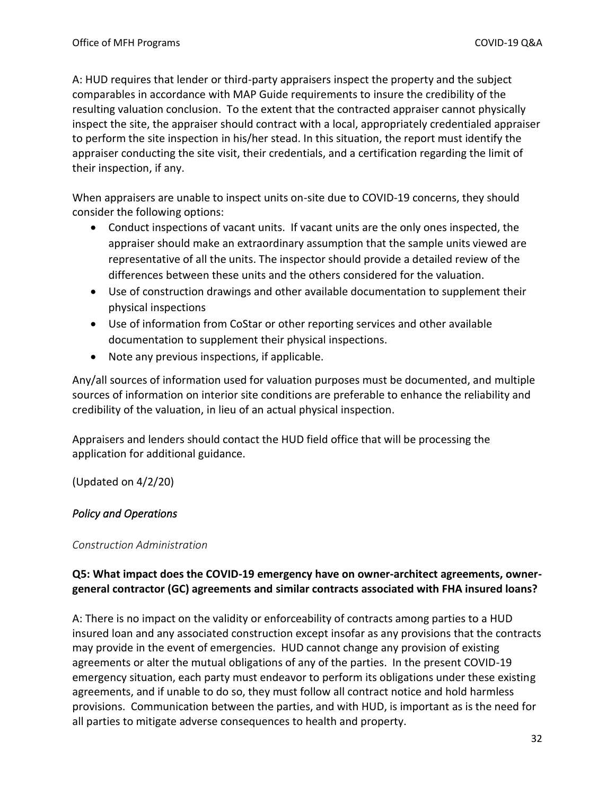A: HUD requires that lender or third-party appraisers inspect the property and the subject comparables in accordance with MAP Guide requirements to insure the credibility of the resulting valuation conclusion. To the extent that the contracted appraiser cannot physically inspect the site, the appraiser should contract with a local, appropriately credentialed appraiser to perform the site inspection in his/her stead. In this situation, the report must identify the appraiser conducting the site visit, their credentials, and a certification regarding the limit of their inspection, if any.

When appraisers are unable to inspect units on-site due to COVID-19 concerns, they should consider the following options:

- Conduct inspections of vacant units. If vacant units are the only ones inspected, the appraiser should make an extraordinary assumption that the sample units viewed are representative of all the units. The inspector should provide a detailed review of the differences between these units and the others considered for the valuation.
- Use of construction drawings and other available documentation to supplement their physical inspections
- Use of information from CoStar or other reporting services and other available documentation to supplement their physical inspections.
- Note any previous inspections, if applicable.

Any/all sources of information used for valuation purposes must be documented, and multiple sources of information on interior site conditions are preferable to enhance the reliability and credibility of the valuation, in lieu of an actual physical inspection.

Appraisers and lenders should contact the HUD field office that will be processing the application for additional guidance.

(Updated on 4/2/20)

### <span id="page-31-0"></span>*Policy and Operations*

### <span id="page-31-1"></span>*Construction Administration*

# **Q5: What impact does the COVID-19 emergency have on owner-architect agreements, ownergeneral contractor (GC) agreements and similar contracts associated with FHA insured loans?**

A: There is no impact on the validity or enforceability of contracts among parties to a HUD insured loan and any associated construction except insofar as any provisions that the contracts may provide in the event of emergencies. HUD cannot change any provision of existing agreements or alter the mutual obligations of any of the parties. In the present COVID-19 emergency situation, each party must endeavor to perform its obligations under these existing agreements, and if unable to do so, they must follow all contract notice and hold harmless provisions. Communication between the parties, and with HUD, is important as is the need for all parties to mitigate adverse consequences to health and property.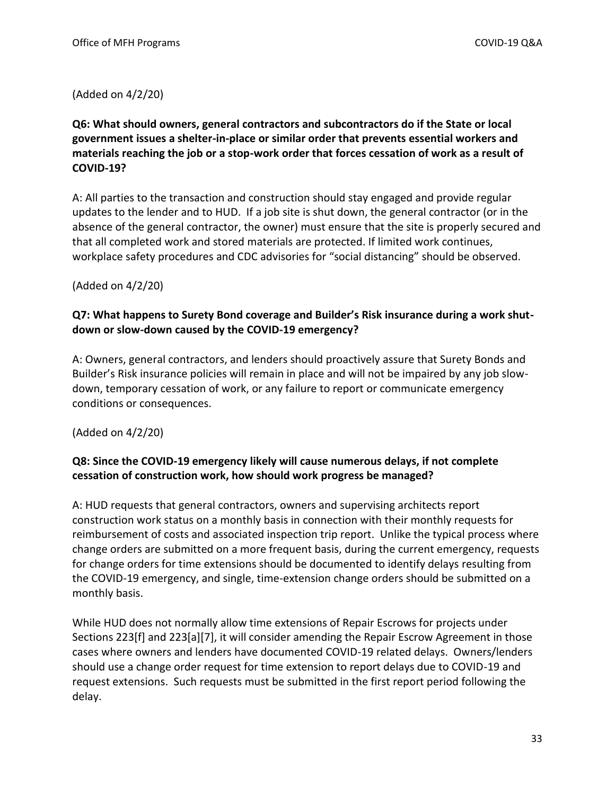### (Added on 4/2/20)

# **Q6: What should owners, general contractors and subcontractors do if the State or local government issues a shelter-in-place or similar order that prevents essential workers and materials reaching the job or a stop-work order that forces cessation of work as a result of COVID-19?**

A: All parties to the transaction and construction should stay engaged and provide regular updates to the lender and to HUD. If a job site is shut down, the general contractor (or in the absence of the general contractor, the owner) must ensure that the site is properly secured and that all completed work and stored materials are protected. If limited work continues, workplace safety procedures and CDC advisories for "social distancing" should be observed.

### (Added on 4/2/20)

### **Q7: What happens to Surety Bond coverage and Builder's Risk insurance during a work shutdown or slow-down caused by the COVID-19 emergency?**

A: Owners, general contractors, and lenders should proactively assure that Surety Bonds and Builder's Risk insurance policies will remain in place and will not be impaired by any job slowdown, temporary cessation of work, or any failure to report or communicate emergency conditions or consequences.

(Added on 4/2/20)

# **Q8: Since the COVID-19 emergency likely will cause numerous delays, if not complete cessation of construction work, how should work progress be managed?**

A: HUD requests that general contractors, owners and supervising architects report construction work status on a monthly basis in connection with their monthly requests for reimbursement of costs and associated inspection trip report. Unlike the typical process where change orders are submitted on a more frequent basis, during the current emergency, requests for change orders for time extensions should be documented to identify delays resulting from the COVID-19 emergency, and single, time-extension change orders should be submitted on a monthly basis.

While HUD does not normally allow time extensions of Repair Escrows for projects under Sections 223[f] and 223[a][7], it will consider amending the Repair Escrow Agreement in those cases where owners and lenders have documented COVID-19 related delays. Owners/lenders should use a change order request for time extension to report delays due to COVID-19 and request extensions. Such requests must be submitted in the first report period following the delay.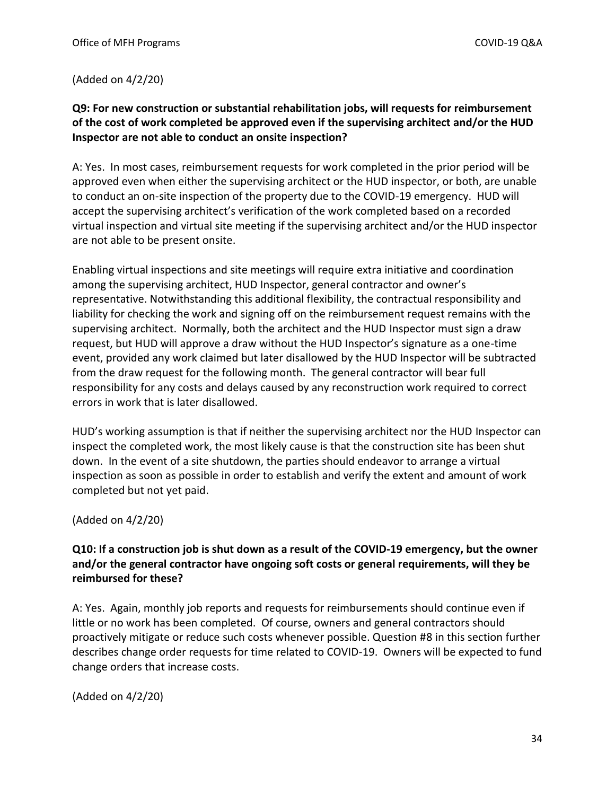(Added on 4/2/20)

### **Q9: For new construction or substantial rehabilitation jobs, will requests for reimbursement of the cost of work completed be approved even if the supervising architect and/or the HUD Inspector are not able to conduct an onsite inspection?**

A: Yes. In most cases, reimbursement requests for work completed in the prior period will be approved even when either the supervising architect or the HUD inspector, or both, are unable to conduct an on-site inspection of the property due to the COVID-19 emergency. HUD will accept the supervising architect's verification of the work completed based on a recorded virtual inspection and virtual site meeting if the supervising architect and/or the HUD inspector are not able to be present onsite.

Enabling virtual inspections and site meetings will require extra initiative and coordination among the supervising architect, HUD Inspector, general contractor and owner's representative. Notwithstanding this additional flexibility, the contractual responsibility and liability for checking the work and signing off on the reimbursement request remains with the supervising architect. Normally, both the architect and the HUD Inspector must sign a draw request, but HUD will approve a draw without the HUD Inspector's signature as a one-time event, provided any work claimed but later disallowed by the HUD Inspector will be subtracted from the draw request for the following month. The general contractor will bear full responsibility for any costs and delays caused by any reconstruction work required to correct errors in work that is later disallowed.

HUD's working assumption is that if neither the supervising architect nor the HUD Inspector can inspect the completed work, the most likely cause is that the construction site has been shut down. In the event of a site shutdown, the parties should endeavor to arrange a virtual inspection as soon as possible in order to establish and verify the extent and amount of work completed but not yet paid.

### (Added on 4/2/20)

# **Q10: If a construction job is shut down as a result of the COVID-19 emergency, but the owner and/or the general contractor have ongoing soft costs or general requirements, will they be reimbursed for these?**

A: Yes. Again, monthly job reports and requests for reimbursements should continue even if little or no work has been completed. Of course, owners and general contractors should proactively mitigate or reduce such costs whenever possible. Question #8 in this section further describes change order requests for time related to COVID-19. Owners will be expected to fund change orders that increase costs.

(Added on 4/2/20)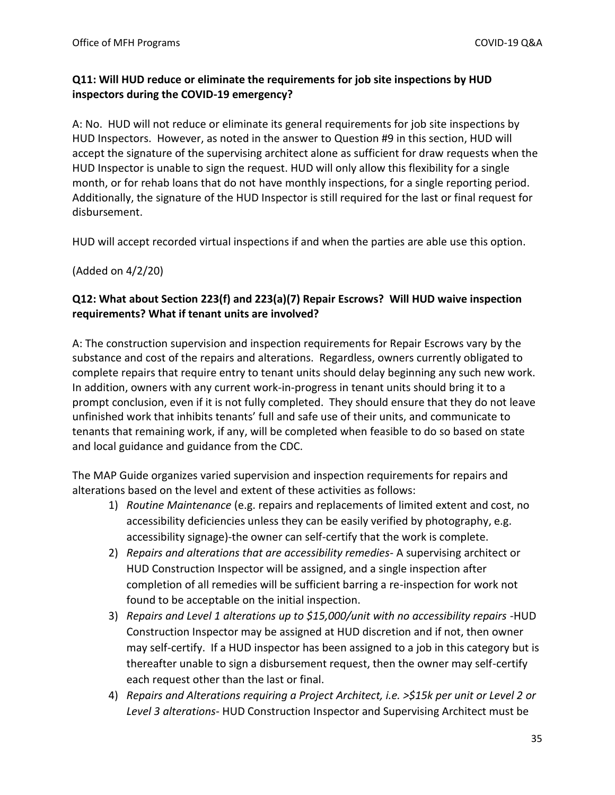# **Q11: Will HUD reduce or eliminate the requirements for job site inspections by HUD inspectors during the COVID-19 emergency?**

A: No. HUD will not reduce or eliminate its general requirements for job site inspections by HUD Inspectors. However, as noted in the answer to Question #9 in this section, HUD will accept the signature of the supervising architect alone as sufficient for draw requests when the HUD Inspector is unable to sign the request. HUD will only allow this flexibility for a single month, or for rehab loans that do not have monthly inspections, for a single reporting period. Additionally, the signature of the HUD Inspector is still required for the last or final request for disbursement.

HUD will accept recorded virtual inspections if and when the parties are able use this option.

(Added on 4/2/20)

### **Q12: What about Section 223(f) and 223(a)(7) Repair Escrows? Will HUD waive inspection requirements? What if tenant units are involved?**

A: The construction supervision and inspection requirements for Repair Escrows vary by the substance and cost of the repairs and alterations. Regardless, owners currently obligated to complete repairs that require entry to tenant units should delay beginning any such new work. In addition, owners with any current work-in-progress in tenant units should bring it to a prompt conclusion, even if it is not fully completed. They should ensure that they do not leave unfinished work that inhibits tenants' full and safe use of their units, and communicate to tenants that remaining work, if any, will be completed when feasible to do so based on state and local guidance and guidance from the CDC.

The MAP Guide organizes varied supervision and inspection requirements for repairs and alterations based on the level and extent of these activities as follows:

- 1) *Routine Maintenance* (e.g. repairs and replacements of limited extent and cost, no accessibility deficiencies unless they can be easily verified by photography, e.g. accessibility signage)-the owner can self-certify that the work is complete.
- 2) *Repairs and alterations that are accessibility remedies* A supervising architect or HUD Construction Inspector will be assigned, and a single inspection after completion of all remedies will be sufficient barring a re-inspection for work not found to be acceptable on the initial inspection.
- 3) *Repairs and Level 1 alterations up to \$15,000/unit with no accessibility repairs* -HUD Construction Inspector may be assigned at HUD discretion and if not, then owner may self-certify. If a HUD inspector has been assigned to a job in this category but is thereafter unable to sign a disbursement request, then the owner may self-certify each request other than the last or final.
- 4) *Repairs and Alterations requiring a Project Architect, i.e. >\$15k per unit or Level 2 or Level 3 alterations*- HUD Construction Inspector and Supervising Architect must be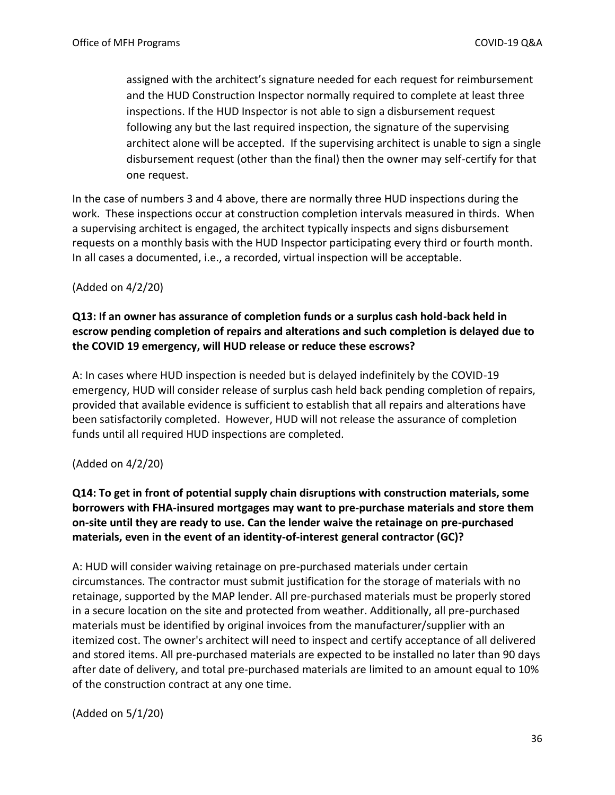assigned with the architect's signature needed for each request for reimbursement and the HUD Construction Inspector normally required to complete at least three inspections. If the HUD Inspector is not able to sign a disbursement request following any but the last required inspection, the signature of the supervising architect alone will be accepted. If the supervising architect is unable to sign a single disbursement request (other than the final) then the owner may self-certify for that one request.

In the case of numbers 3 and 4 above, there are normally three HUD inspections during the work. These inspections occur at construction completion intervals measured in thirds. When a supervising architect is engaged, the architect typically inspects and signs disbursement requests on a monthly basis with the HUD Inspector participating every third or fourth month. In all cases a documented, i.e., a recorded, virtual inspection will be acceptable.

(Added on 4/2/20)

# **Q13: If an owner has assurance of completion funds or a surplus cash hold-back held in escrow pending completion of repairs and alterations and such completion is delayed due to the COVID 19 emergency, will HUD release or reduce these escrows?**

A: In cases where HUD inspection is needed but is delayed indefinitely by the COVID-19 emergency, HUD will consider release of surplus cash held back pending completion of repairs, provided that available evidence is sufficient to establish that all repairs and alterations have been satisfactorily completed. However, HUD will not release the assurance of completion funds until all required HUD inspections are completed.

### (Added on 4/2/20)

**Q14: To get in front of potential supply chain disruptions with construction materials, some borrowers with FHA-insured mortgages may want to pre-purchase materials and store them on-site until they are ready to use. Can the lender waive the retainage on pre-purchased materials, even in the event of an identity-of-interest general contractor (GC)?**

A: HUD will consider waiving retainage on pre-purchased materials under certain circumstances. The contractor must submit justification for the storage of materials with no retainage, supported by the MAP lender. All pre-purchased materials must be properly stored in a secure location on the site and protected from weather. Additionally, all pre-purchased materials must be identified by original invoices from the manufacturer/supplier with an itemized cost. The owner's architect will need to inspect and certify acceptance of all delivered and stored items. All pre-purchased materials are expected to be installed no later than 90 days after date of delivery, and total pre-purchased materials are limited to an amount equal to 10% of the construction contract at any one time.

(Added on 5/1/20)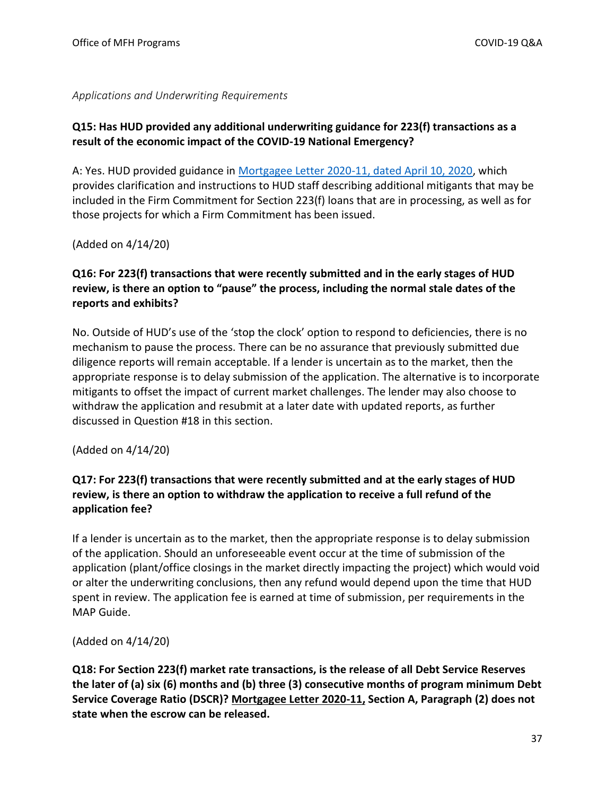<span id="page-36-0"></span>*Applications and Underwriting Requirements*

### **Q15: Has HUD provided any additional underwriting guidance for 223(f) transactions as a result of the economic impact of the COVID-19 National Emergency?**

A: Yes. HUD provided guidance in [Mortgagee Letter 2020-11, dated April 10, 2020,](https://www.hud.gov/sites/dfiles/OCHCO/documents/2020-11hsngml.pdf) which provides clarification and instructions to HUD staff describing additional mitigants that may be included in the Firm Commitment for Section 223(f) loans that are in processing, as well as for those projects for which a Firm Commitment has been issued.

(Added on 4/14/20)

### **Q16: For 223(f) transactions that were recently submitted and in the early stages of HUD review, is there an option to "pause" the process, including the normal stale dates of the reports and exhibits?**

No. Outside of HUD's use of the 'stop the clock' option to respond to deficiencies, there is no mechanism to pause the process. There can be no assurance that previously submitted due diligence reports will remain acceptable. If a lender is uncertain as to the market, then the appropriate response is to delay submission of the application. The alternative is to incorporate mitigants to offset the impact of current market challenges. The lender may also choose to withdraw the application and resubmit at a later date with updated reports, as further discussed in Question #18 in this section.

(Added on 4/14/20)

# **Q17: For 223(f) transactions that were recently submitted and at the early stages of HUD review, is there an option to withdraw the application to receive a full refund of the application fee?**

If a lender is uncertain as to the market, then the appropriate response is to delay submission of the application. Should an unforeseeable event occur at the time of submission of the application (plant/office closings in the market directly impacting the project) which would void or alter the underwriting conclusions, then any refund would depend upon the time that HUD spent in review. The application fee is earned at time of submission, per requirements in the MAP Guide.

(Added on 4/14/20)

**Q18: For Section 223(f) market rate transactions, is the release of all Debt Service Reserves the later of (a) six (6) months and (b) three (3) consecutive months of program minimum Debt Service Coverage Ratio (DSCR)? [Mortgagee Letter 2020-11,](https://www.hud.gov/sites/dfiles/OCHCO/documents/2020-11hsngml.pdf) Section A, Paragraph (2) does not state when the escrow can be released.**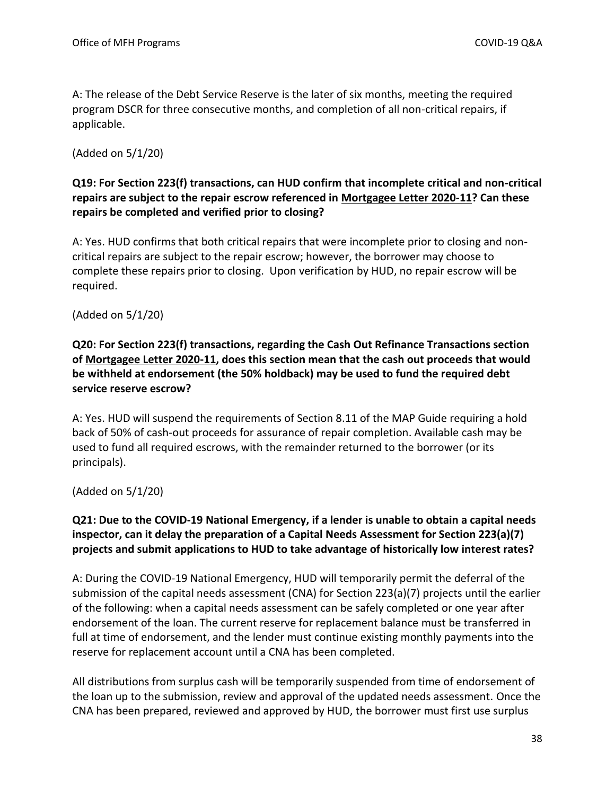A: The release of the Debt Service Reserve is the later of six months, meeting the required program DSCR for three consecutive months, and completion of all non-critical repairs, if applicable.

(Added on 5/1/20)

### **Q19: For Section 223(f) transactions, can HUD confirm that incomplete critical and non-critical repairs are subject to the repair escrow referenced in [Mortgagee Letter 2020-11?](https://www.hud.gov/sites/dfiles/OCHCO/documents/2020-11hsngml.pdf) Can these repairs be completed and verified prior to closing?**

A: Yes. HUD confirms that both critical repairs that were incomplete prior to closing and noncritical repairs are subject to the repair escrow; however, the borrower may choose to complete these repairs prior to closing. Upon verification by HUD, no repair escrow will be required.

### (Added on 5/1/20)

# **Q20: For Section 223(f) transactions, regarding the Cash Out Refinance Transactions section of [Mortgagee Letter 2020-11,](https://www.hud.gov/sites/dfiles/OCHCO/documents/2020-11hsngml.pdf) does this section mean that the cash out proceeds that would be withheld at endorsement (the 50% holdback) may be used to fund the required debt service reserve escrow?**

A: Yes. HUD will suspend the requirements of Section 8.11 of the MAP Guide requiring a hold back of 50% of cash-out proceeds for assurance of repair completion. Available cash may be used to fund all required escrows, with the remainder returned to the borrower (or its principals).

(Added on 5/1/20)

# **Q21: Due to the COVID-19 National Emergency, if a lender is unable to obtain a capital needs inspector, can it delay the preparation of a Capital Needs Assessment for Section 223(a)(7) projects and submit applications to HUD to take advantage of historically low interest rates?**

A: During the COVID-19 National Emergency, HUD will temporarily permit the deferral of the submission of the capital needs assessment (CNA) for Section 223(a)(7) projects until the earlier of the following: when a capital needs assessment can be safely completed or one year after endorsement of the loan. The current reserve for replacement balance must be transferred in full at time of endorsement, and the lender must continue existing monthly payments into the reserve for replacement account until a CNA has been completed.

All distributions from surplus cash will be temporarily suspended from time of endorsement of the loan up to the submission, review and approval of the updated needs assessment. Once the CNA has been prepared, reviewed and approved by HUD, the borrower must first use surplus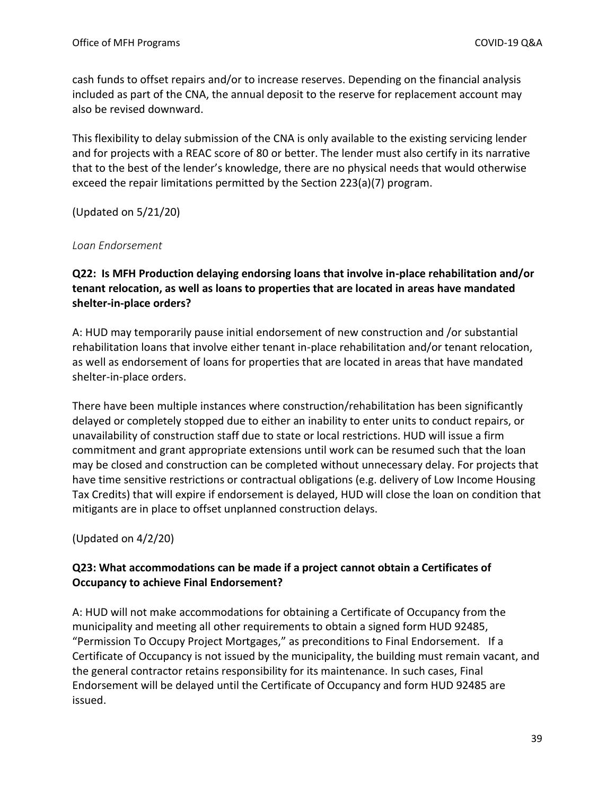cash funds to offset repairs and/or to increase reserves. Depending on the financial analysis included as part of the CNA, the annual deposit to the reserve for replacement account may also be revised downward.

This flexibility to delay submission of the CNA is only available to the existing servicing lender and for projects with a REAC score of 80 or better. The lender must also certify in its narrative that to the best of the lender's knowledge, there are no physical needs that would otherwise exceed the repair limitations permitted by the Section 223(a)(7) program.

(Updated on 5/21/20)

### <span id="page-38-0"></span>*Loan Endorsement*

### **Q22: Is MFH Production delaying endorsing loans that involve in-place rehabilitation and/or tenant relocation, as well as loans to properties that are located in areas have mandated shelter-in-place orders?**

A: HUD may temporarily pause initial endorsement of new construction and /or substantial rehabilitation loans that involve either tenant in-place rehabilitation and/or tenant relocation, as well as endorsement of loans for properties that are located in areas that have mandated shelter-in-place orders.

There have been multiple instances where construction/rehabilitation has been significantly delayed or completely stopped due to either an inability to enter units to conduct repairs, or unavailability of construction staff due to state or local restrictions. HUD will issue a firm commitment and grant appropriate extensions until work can be resumed such that the loan may be closed and construction can be completed without unnecessary delay. For projects that have time sensitive restrictions or contractual obligations (e.g. delivery of Low Income Housing Tax Credits) that will expire if endorsement is delayed, HUD will close the loan on condition that mitigants are in place to offset unplanned construction delays.

(Updated on 4/2/20)

# **Q23: What accommodations can be made if a project cannot obtain a Certificates of Occupancy to achieve Final Endorsement?**

A: HUD will not make accommodations for obtaining a Certificate of Occupancy from the municipality and meeting all other requirements to obtain a signed form HUD 92485, "Permission To Occupy Project Mortgages," as preconditions to Final Endorsement. If a Certificate of Occupancy is not issued by the municipality, the building must remain vacant, and the general contractor retains responsibility for its maintenance. In such cases, Final Endorsement will be delayed until the Certificate of Occupancy and form HUD 92485 are issued.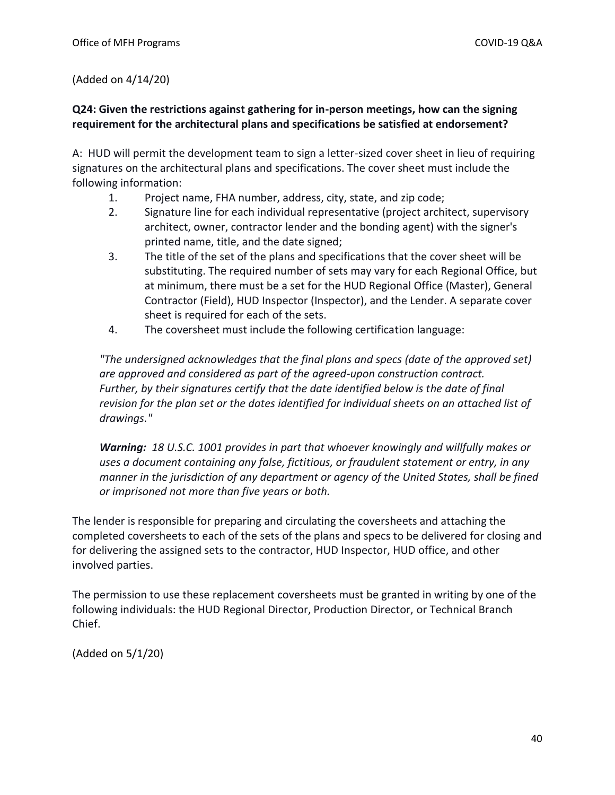### (Added on 4/14/20)

### **Q24: Given the restrictions against gathering for in-person meetings, how can the signing requirement for the architectural plans and specifications be satisfied at endorsement?**

A: HUD will permit the development team to sign a letter-sized cover sheet in lieu of requiring signatures on the architectural plans and specifications. The cover sheet must include the following information:

- 1. Project name, FHA number, address, city, state, and zip code;
- 2. Signature line for each individual representative (project architect, supervisory architect, owner, contractor lender and the bonding agent) with the signer's printed name, title, and the date signed;
- 3. The title of the set of the plans and specifications that the cover sheet will be substituting. The required number of sets may vary for each Regional Office, but at minimum, there must be a set for the HUD Regional Office (Master), General Contractor (Field), HUD Inspector (Inspector), and the Lender. A separate cover sheet is required for each of the sets.
- 4. The coversheet must include the following certification language:

*"The undersigned acknowledges that the final plans and specs (date of the approved set) are approved and considered as part of the agreed-upon construction contract. Further, by their signatures certify that the date identified below is the date of final revision for the plan set or the dates identified for individual sheets on an attached list of drawings."*

*Warning: 18 U.S.C. 1001 provides in part that whoever knowingly and willfully makes or uses a document containing any false, fictitious, or fraudulent statement or entry, in any manner in the jurisdiction of any department or agency of the United States, shall be fined or imprisoned not more than five years or both.*

The lender is responsible for preparing and circulating the coversheets and attaching the completed coversheets to each of the sets of the plans and specs to be delivered for closing and for delivering the assigned sets to the contractor, HUD Inspector, HUD office, and other involved parties.

The permission to use these replacement coversheets must be granted in writing by one of the following individuals: the HUD Regional Director, Production Director, or Technical Branch Chief.

(Added on 5/1/20)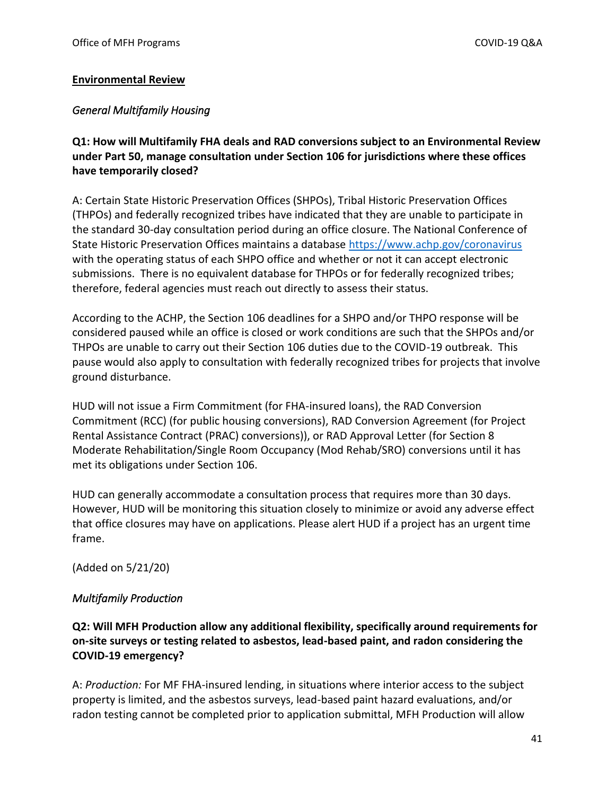### <span id="page-40-0"></span>**Environmental Review**

### <span id="page-40-1"></span>*General Multifamily Housing*

**Q1: How will Multifamily FHA deals and RAD conversions subject to an Environmental Review under Part 50, manage consultation under Section 106 for jurisdictions where these offices have temporarily closed?** 

A: Certain State Historic Preservation Offices (SHPOs), Tribal Historic Preservation Offices (THPOs) and federally recognized tribes have indicated that they are unable to participate in the standard 30-day consultation period during an office closure. The National Conference of State Historic Preservation Offices maintains a database<https://www.achp.gov/coronavirus> with the operating status of each SHPO office and whether or not it can accept electronic submissions. There is no equivalent database for THPOs or for federally recognized tribes; therefore, federal agencies must reach out directly to assess their status.

According to the ACHP, the Section 106 deadlines for a SHPO and/or THPO response will be considered paused while an office is closed or work conditions are such that the SHPOs and/or THPOs are unable to carry out their Section 106 duties due to the COVID-19 outbreak. This pause would also apply to consultation with federally recognized tribes for projects that involve ground disturbance.

HUD will not issue a Firm Commitment (for FHA-insured loans), the RAD Conversion Commitment (RCC) (for public housing conversions), RAD Conversion Agreement (for Project Rental Assistance Contract (PRAC) conversions)), or RAD Approval Letter (for Section 8 Moderate Rehabilitation/Single Room Occupancy (Mod Rehab/SRO) conversions until it has met its obligations under Section 106.

HUD can generally accommodate a consultation process that requires more than 30 days. However, HUD will be monitoring this situation closely to minimize or avoid any adverse effect that office closures may have on applications. Please alert HUD if a project has an urgent time frame.

(Added on 5/21/20)

### <span id="page-40-2"></span>*Multifamily Production*

**Q2: Will MFH Production allow any additional flexibility, specifically around requirements for on-site surveys or testing related to asbestos, lead-based paint, and radon considering the COVID-19 emergency?**

A: *Production:* For MF FHA-insured lending, in situations where interior access to the subject property is limited, and the asbestos surveys, lead-based paint hazard evaluations, and/or radon testing cannot be completed prior to application submittal, MFH Production will allow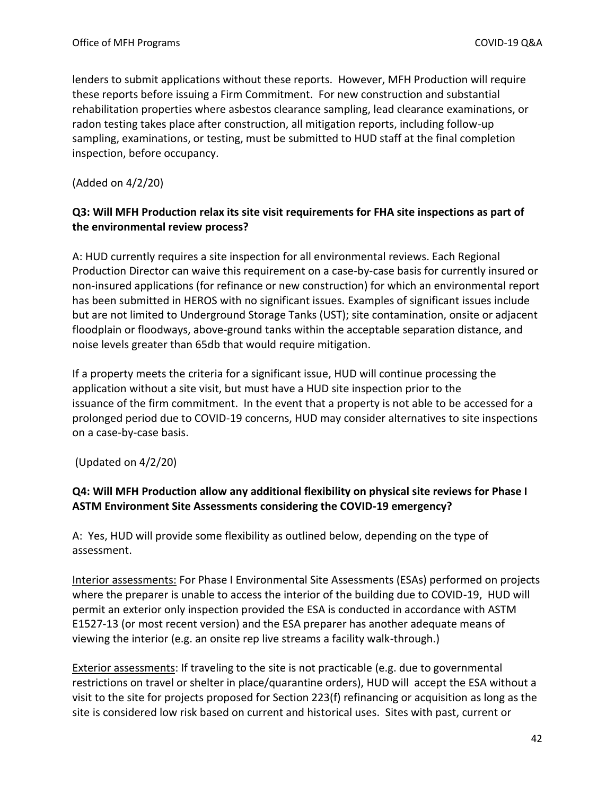lenders to submit applications without these reports. However, MFH Production will require these reports before issuing a Firm Commitment. For new construction and substantial rehabilitation properties where asbestos clearance sampling, lead clearance examinations, or radon testing takes place after construction, all mitigation reports, including follow-up sampling, examinations, or testing, must be submitted to HUD staff at the final completion inspection, before occupancy.

(Added on 4/2/20)

## **Q3: Will MFH Production relax its site visit requirements for FHA site inspections as part of the environmental review process?**

A: HUD currently requires a site inspection for all environmental reviews. Each Regional Production Director can waive this requirement on a case-by-case basis for currently insured or non-insured applications (for refinance or new construction) for which an environmental report has been submitted in HEROS with no significant issues. Examples of significant issues include but are not limited to Underground Storage Tanks (UST); site contamination, onsite or adjacent floodplain or floodways, above-ground tanks within the acceptable separation distance, and noise levels greater than 65db that would require mitigation.

If a property meets the criteria for a significant issue, HUD will continue processing the application without a site visit, but must have a HUD site inspection prior to the issuance of the firm commitment. In the event that a property is not able to be accessed for a prolonged period due to COVID-19 concerns, HUD may consider alternatives to site inspections on a case-by-case basis.

(Updated on 4/2/20)

# **Q4: Will MFH Production allow any additional flexibility on physical site reviews for Phase I ASTM Environment Site Assessments considering the COVID-19 emergency?**

A: Yes, HUD will provide some flexibility as outlined below, depending on the type of assessment.

Interior assessments: For Phase I Environmental Site Assessments (ESAs) performed on projects where the preparer is unable to access the interior of the building due to COVID-19, HUD will permit an exterior only inspection provided the ESA is conducted in accordance with ASTM E1527-13 (or most recent version) and the ESA preparer has another adequate means of viewing the interior (e.g. an onsite rep live streams a facility walk-through.)

Exterior assessments: If traveling to the site is not practicable (e.g. due to governmental restrictions on travel or shelter in place/quarantine orders), HUD will accept the ESA without a visit to the site for projects proposed for Section 223(f) refinancing or acquisition as long as the site is considered low risk based on current and historical uses. Sites with past, current or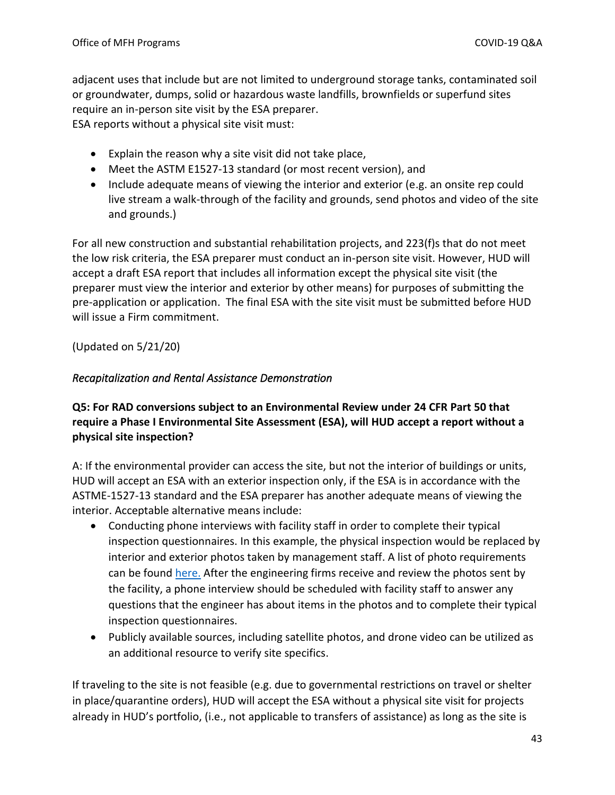adjacent uses that include but are not limited to underground storage tanks, contaminated soil or groundwater, dumps, solid or hazardous waste landfills, brownfields or superfund sites require an in-person site visit by the ESA preparer.

ESA reports without a physical site visit must:

- Explain the reason why a site visit did not take place,
- Meet the ASTM E1527-13 standard (or most recent version), and
- Include adequate means of viewing the interior and exterior (e.g. an onsite rep could live stream a walk-through of the facility and grounds, send photos and video of the site and grounds.)

For all new construction and substantial rehabilitation projects, and 223(f)s that do not meet the low risk criteria, the ESA preparer must conduct an in-person site visit. However, HUD will accept a draft ESA report that includes all information except the physical site visit (the preparer must view the interior and exterior by other means) for purposes of submitting the pre-application or application. The final ESA with the site visit must be submitted before HUD will issue a Firm commitment.

(Updated on 5/21/20)

### <span id="page-42-0"></span>*Recapitalization and Rental Assistance Demonstration*

**Q5: For RAD conversions subject to an Environmental Review under 24 CFR Part 50 that require a Phase I Environmental Site Assessment (ESA), will HUD accept a report without a physical site inspection?** 

A: If the environmental provider can access the site, but not the interior of buildings or units, HUD will accept an ESA with an exterior inspection only, if the ESA is in accordance with the ASTME-1527-13 standard and the ESA preparer has another adequate means of viewing the interior. Acceptable alternative means include:

- Conducting phone interviews with facility staff in order to complete their typical inspection questionnaires. In this example, the physical inspection would be replaced by interior and exterior photos taken by management staff. A list of photo requirements can be found [here.](file://///HLANNFP018/OMH01/POLICY/Environmental%20Review/COVID%2019%20Response%20FAQ/ESA%20Photo%20Requirements.pdf) After the engineering firms receive and review the photos sent by the facility, a phone interview should be scheduled with facility staff to answer any questions that the engineer has about items in the photos and to complete their typical inspection questionnaires.
- Publicly available sources, including satellite photos, and drone video can be utilized as an additional resource to verify site specifics.

If traveling to the site is not feasible (e.g. due to governmental restrictions on travel or shelter in place/quarantine orders), HUD will accept the ESA without a physical site visit for projects already in HUD's portfolio, (i.e., not applicable to transfers of assistance) as long as the site is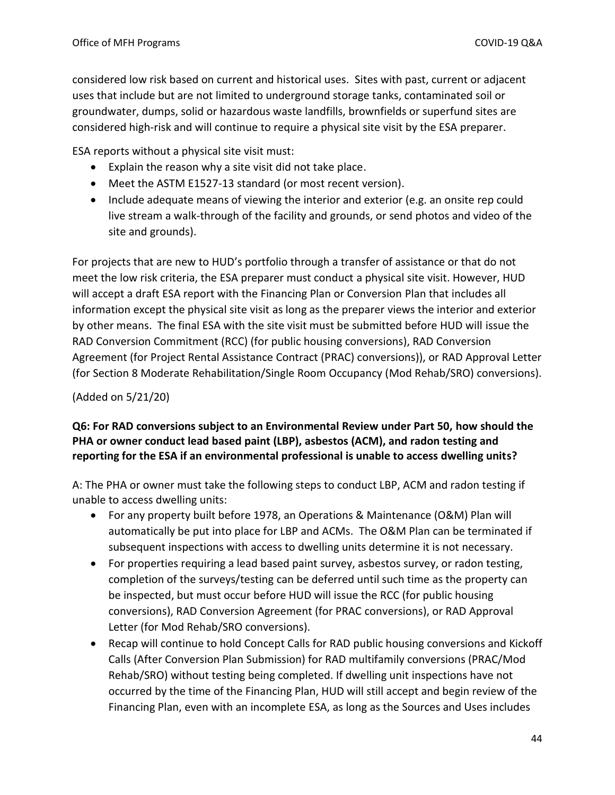considered low risk based on current and historical uses. Sites with past, current or adjacent uses that include but are not limited to underground storage tanks, contaminated soil or groundwater, dumps, solid or hazardous waste landfills, brownfields or superfund sites are considered high-risk and will continue to require a physical site visit by the ESA preparer.

ESA reports without a physical site visit must:

- Explain the reason why a site visit did not take place.
- Meet the ASTM E1527-13 standard (or most recent version).
- Include adequate means of viewing the interior and exterior (e.g. an onsite rep could live stream a walk-through of the facility and grounds, or send photos and video of the site and grounds).

For projects that are new to HUD's portfolio through a transfer of assistance or that do not meet the low risk criteria, the ESA preparer must conduct a physical site visit. However, HUD will accept a draft ESA report with the Financing Plan or Conversion Plan that includes all information except the physical site visit as long as the preparer views the interior and exterior by other means. The final ESA with the site visit must be submitted before HUD will issue the RAD Conversion Commitment (RCC) (for public housing conversions), RAD Conversion Agreement (for Project Rental Assistance Contract (PRAC) conversions)), or RAD Approval Letter (for Section 8 Moderate Rehabilitation/Single Room Occupancy (Mod Rehab/SRO) conversions).

## (Added on 5/21/20)

# **Q6: For RAD conversions subject to an Environmental Review under Part 50, how should the PHA or owner conduct lead based paint (LBP), asbestos (ACM), and radon testing and reporting for the ESA if an environmental professional is unable to access dwelling units?**

A: The PHA or owner must take the following steps to conduct LBP, ACM and radon testing if unable to access dwelling units:

- For any property built before 1978, an Operations & Maintenance (O&M) Plan will automatically be put into place for LBP and ACMs. The O&M Plan can be terminated if subsequent inspections with access to dwelling units determine it is not necessary.
- For properties requiring a lead based paint survey, asbestos survey, or radon testing, completion of the surveys/testing can be deferred until such time as the property can be inspected, but must occur before HUD will issue the RCC (for public housing conversions), RAD Conversion Agreement (for PRAC conversions), or RAD Approval Letter (for Mod Rehab/SRO conversions).
- Recap will continue to hold Concept Calls for RAD public housing conversions and Kickoff Calls (After Conversion Plan Submission) for RAD multifamily conversions (PRAC/Mod Rehab/SRO) without testing being completed. If dwelling unit inspections have not occurred by the time of the Financing Plan, HUD will still accept and begin review of the Financing Plan, even with an incomplete ESA, as long as the Sources and Uses includes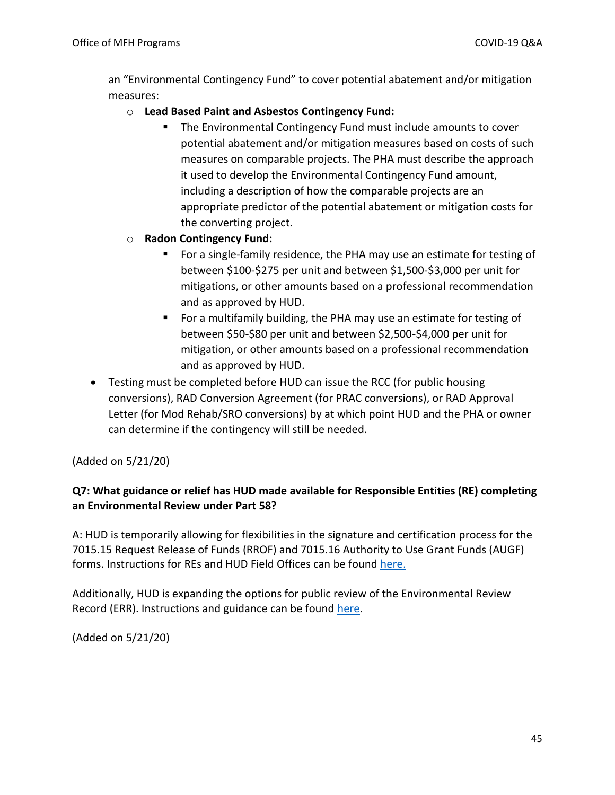an "Environmental Contingency Fund" to cover potential abatement and/or mitigation measures:

### o **Lead Based Paint and Asbestos Contingency Fund:**

■ The Environmental Contingency Fund must include amounts to cover potential abatement and/or mitigation measures based on costs of such measures on comparable projects. The PHA must describe the approach it used to develop the Environmental Contingency Fund amount, including a description of how the comparable projects are an appropriate predictor of the potential abatement or mitigation costs for the converting project.

### o **Radon Contingency Fund:**

- For a single-family residence, the PHA may use an estimate for testing of between \$100-\$275 per unit and between \$1,500-\$3,000 per unit for mitigations, or other amounts based on a professional recommendation and as approved by HUD.
- For a multifamily building, the PHA may use an estimate for testing of between \$50-\$80 per unit and between \$2,500-\$4,000 per unit for mitigation, or other amounts based on a professional recommendation and as approved by HUD.
- Testing must be completed before HUD can issue the RCC (for public housing conversions), RAD Conversion Agreement (for PRAC conversions), or RAD Approval Letter (for Mod Rehab/SRO conversions) by at which point HUD and the PHA or owner can determine if the contingency will still be needed.

(Added on 5/21/20)

# **Q7: What guidance or relief has HUD made available for Responsible Entities (RE) completing an Environmental Review under Part 58?**

A: HUD is temporarily allowing for flexibilities in the signature and certification process for the 7015.15 Request Release of Funds (RROF) and 7015.16 Authority to Use Grant Funds (AUGF) forms. Instructions for REs and HUD Field Offices can be found [here.](https://files.hudexchange.info/resources/documents/RROF-AUGF-Signature-Certification-Process-COVID-19.pdf)

Additionally, HUD is expanding the options for public review of the Environmental Review Record (ERR). Instructions and guidance can be found [here.](https://files.hudexchange.info/resources/documents/Consultation-Review-Comment-on-Environmental-Review-Record-COVID-19.pdf)

(Added on 5/21/20)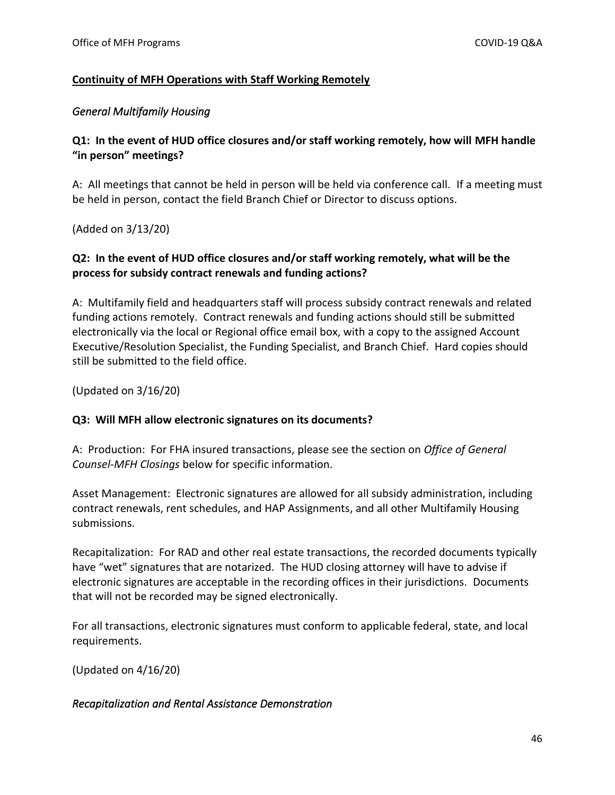### <span id="page-45-0"></span>**Continuity of MFH Operations with Staff Working Remotely**

### <span id="page-45-1"></span>*General Multifamily Housing*

## **Q1: In the event of HUD office closures and/or staff working remotely, how will MFH handle "in person" meetings?**

A: All meetings that cannot be held in person will be held via conference call. If a meeting must be held in person, contact the field Branch Chief or Director to discuss options.

(Added on 3/13/20)

### **Q2: In the event of HUD office closures and/or staff working remotely, what will be the process for subsidy contract renewals and funding actions?**

A: Multifamily field and headquarters staff will process subsidy contract renewals and related funding actions remotely. Contract renewals and funding actions should still be submitted electronically via the local or Regional office email box, with a copy to the assigned Account Executive/Resolution Specialist, the Funding Specialist, and Branch Chief. Hard copies should still be submitted to the field office.

(Updated on 3/16/20)

### **Q3: Will MFH allow electronic signatures on its documents?**

A: Production: For FHA insured transactions, please see the section on *Office of General Counsel-MFH Closings* below for specific information.

Asset Management: Electronic signatures are allowed for all subsidy administration, including contract renewals, rent schedules, and HAP Assignments, and all other Multifamily Housing submissions.

Recapitalization: For RAD and other real estate transactions, the recorded documents typically have "wet" signatures that are notarized. The HUD closing attorney will have to advise if electronic signatures are acceptable in the recording offices in their jurisdictions. Documents that will not be recorded may be signed electronically.

For all transactions, electronic signatures must conform to applicable federal, state, and local requirements.

(Updated on 4/16/20)

### <span id="page-45-2"></span>*Recapitalization and Rental Assistance Demonstration*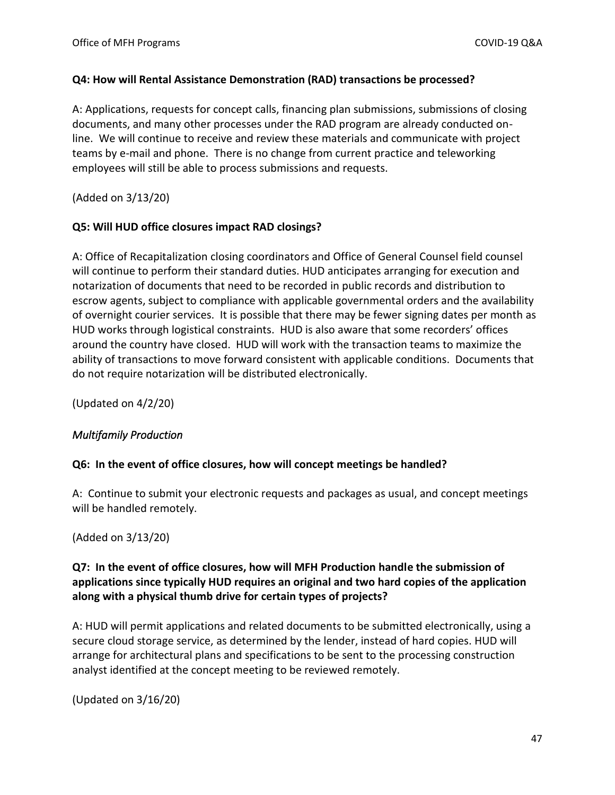### **Q4: How will Rental Assistance Demonstration (RAD) transactions be processed?**

A: Applications, requests for concept calls, financing plan submissions, submissions of closing documents, and many other processes under the RAD program are already conducted online. We will continue to receive and review these materials and communicate with project teams by e-mail and phone. There is no change from current practice and teleworking employees will still be able to process submissions and requests.

(Added on 3/13/20)

### **Q5: Will HUD office closures impact RAD closings?**

A: Office of Recapitalization closing coordinators and Office of General Counsel field counsel will continue to perform their standard duties. HUD anticipates arranging for execution and notarization of documents that need to be recorded in public records and distribution to escrow agents, subject to compliance with applicable governmental orders and the availability of overnight courier services. It is possible that there may be fewer signing dates per month as HUD works through logistical constraints. HUD is also aware that some recorders' offices around the country have closed. HUD will work with the transaction teams to maximize the ability of transactions to move forward consistent with applicable conditions. Documents that do not require notarization will be distributed electronically.

(Updated on 4/2/20)

### <span id="page-46-0"></span>*Multifamily Production*

### **Q6: In the event of office closures, how will concept meetings be handled?**

A: Continue to submit your electronic requests and packages as usual, and concept meetings will be handled remotely.

(Added on 3/13/20)

# **Q7: In the event of office closures, how will MFH Production handle the submission of applications since typically HUD requires an original and two hard copies of the application along with a physical thumb drive for certain types of projects?**

A: HUD will permit applications and related documents to be submitted electronically, using a secure cloud storage service, as determined by the lender, instead of hard copies. HUD will arrange for architectural plans and specifications to be sent to the processing construction analyst identified at the concept meeting to be reviewed remotely.

(Updated on 3/16/20)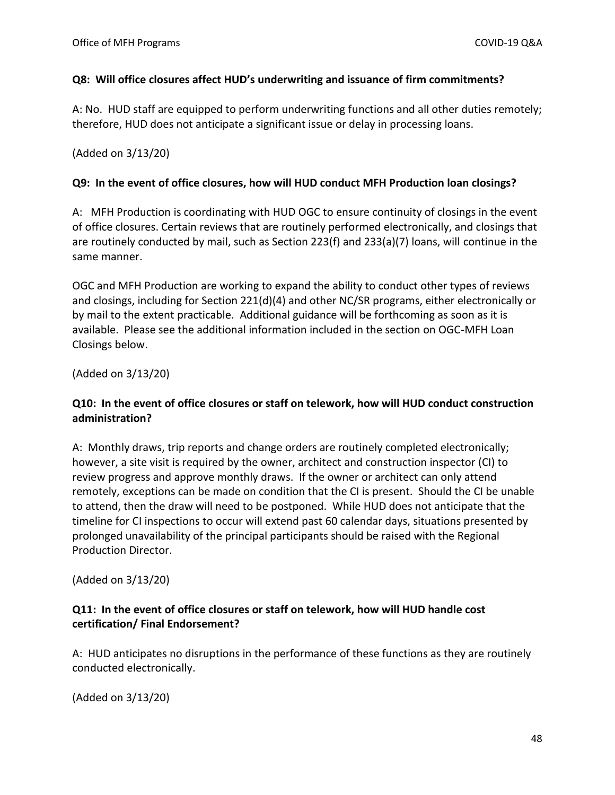### **Q8: Will office closures affect HUD's underwriting and issuance of firm commitments?**

A: No. HUD staff are equipped to perform underwriting functions and all other duties remotely; therefore, HUD does not anticipate a significant issue or delay in processing loans.

(Added on 3/13/20)

### **Q9: In the event of office closures, how will HUD conduct MFH Production loan closings?**

A: MFH Production is coordinating with HUD OGC to ensure continuity of closings in the event of office closures. Certain reviews that are routinely performed electronically, and closings that are routinely conducted by mail, such as Section 223(f) and 233(a)(7) loans, will continue in the same manner.

OGC and MFH Production are working to expand the ability to conduct other types of reviews and closings, including for Section 221(d)(4) and other NC/SR programs, either electronically or by mail to the extent practicable. Additional guidance will be forthcoming as soon as it is available. Please see the additional information included in the section on OGC-MFH Loan Closings below.

(Added on 3/13/20)

### **Q10: In the event of office closures or staff on telework, how will HUD conduct construction administration?**

A: Monthly draws, trip reports and change orders are routinely completed electronically; however, a site visit is required by the owner, architect and construction inspector (CI) to review progress and approve monthly draws. If the owner or architect can only attend remotely, exceptions can be made on condition that the CI is present. Should the CI be unable to attend, then the draw will need to be postponed. While HUD does not anticipate that the timeline for CI inspections to occur will extend past 60 calendar days, situations presented by prolonged unavailability of the principal participants should be raised with the Regional Production Director.

(Added on 3/13/20)

# **Q11: In the event of office closures or staff on telework, how will HUD handle cost certification/ Final Endorsement?**

A: HUD anticipates no disruptions in the performance of these functions as they are routinely conducted electronically.

(Added on 3/13/20)